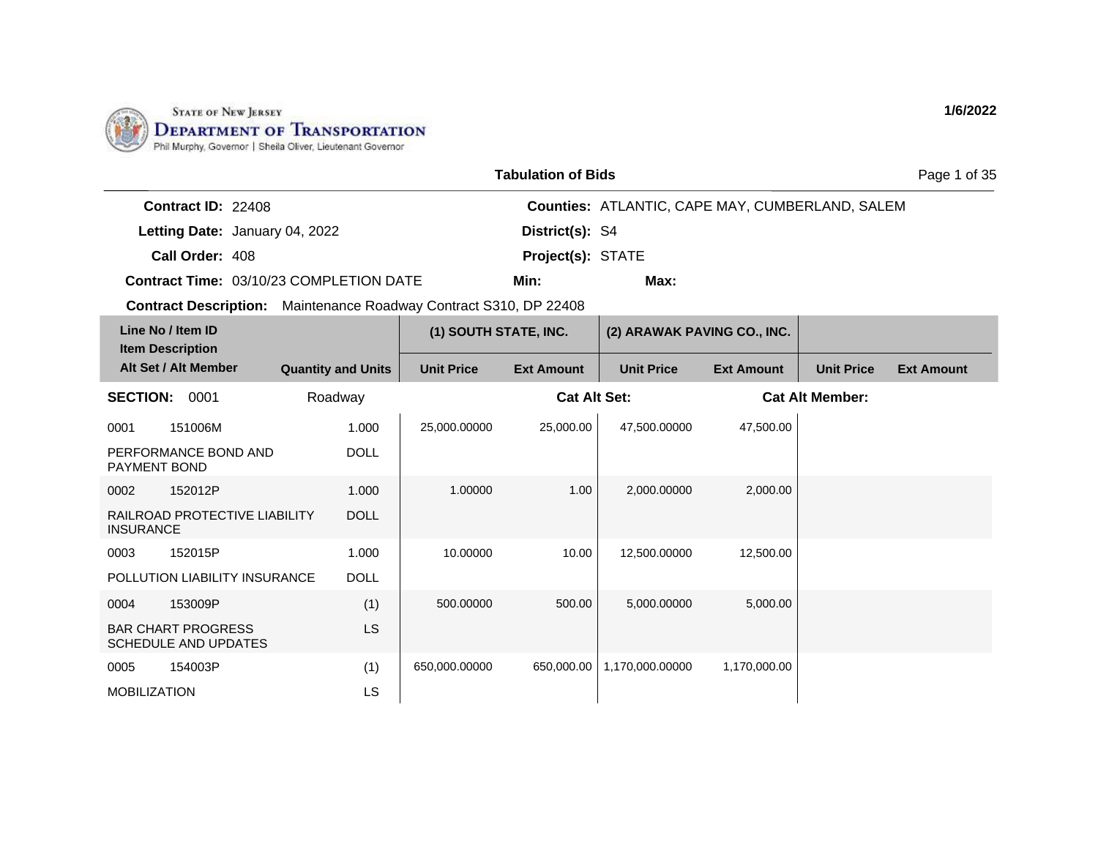

| <b>Tabulation of Bids</b> |  |
|---------------------------|--|
|---------------------------|--|

Page 1 of 35

| <b>Contract ID: 22408</b> |                                         |                          | <b>Counties: ATLANTIC, CAPE MAY, CUMBERLAND, SALEM</b> |
|---------------------------|-----------------------------------------|--------------------------|--------------------------------------------------------|
|                           | Letting Date: January 04, 2022          | <b>District(s): S4</b>   |                                                        |
| Call Order: 408           |                                         | <b>Project(s): STATE</b> |                                                        |
|                           | Contract Time: 03/10/23 COMPLETION DATE | Min:                     | Max:                                                   |

| Line No / Item ID<br><b>Item Description</b>             |                           | (1) SOUTH STATE, INC. |                     | (2) ARAWAK PAVING CO., INC. |                   |                        |                   |
|----------------------------------------------------------|---------------------------|-----------------------|---------------------|-----------------------------|-------------------|------------------------|-------------------|
| Alt Set / Alt Member                                     | <b>Quantity and Units</b> | <b>Unit Price</b>     | <b>Ext Amount</b>   | <b>Unit Price</b>           | <b>Ext Amount</b> | <b>Unit Price</b>      | <b>Ext Amount</b> |
| <b>SECTION:</b><br>0001                                  | Roadway                   |                       | <b>Cat Alt Set:</b> |                             |                   | <b>Cat Alt Member:</b> |                   |
| 0001<br>151006M                                          | 1.000                     | 25,000.00000          | 25,000.00           | 47,500.00000                | 47,500.00         |                        |                   |
| PERFORMANCE BOND AND<br>PAYMENT BOND                     | <b>DOLL</b>               |                       |                     |                             |                   |                        |                   |
| 152012P<br>0002                                          | 1.000                     | 1.00000               | 1.00                | 2,000.00000                 | 2,000.00          |                        |                   |
| RAILROAD PROTECTIVE LIABILITY<br><b>INSURANCE</b>        | <b>DOLL</b>               |                       |                     |                             |                   |                        |                   |
| 152015P<br>0003                                          | 1.000                     | 10.00000              | 10.00               | 12,500.00000                | 12,500.00         |                        |                   |
| POLLUTION LIABILITY INSURANCE                            | <b>DOLL</b>               |                       |                     |                             |                   |                        |                   |
| 0004<br>153009P                                          | (1)                       | 500.00000             | 500.00              | 5,000.00000                 | 5,000.00          |                        |                   |
| <b>BAR CHART PROGRESS</b><br><b>SCHEDULE AND UPDATES</b> | LS                        |                       |                     |                             |                   |                        |                   |
| 154003P<br>0005                                          | (1)                       | 650,000.00000         | 650,000.00          | 1,170,000.00000             | 1,170,000.00      |                        |                   |
| <b>MOBILIZATION</b>                                      | LS                        |                       |                     |                             |                   |                        |                   |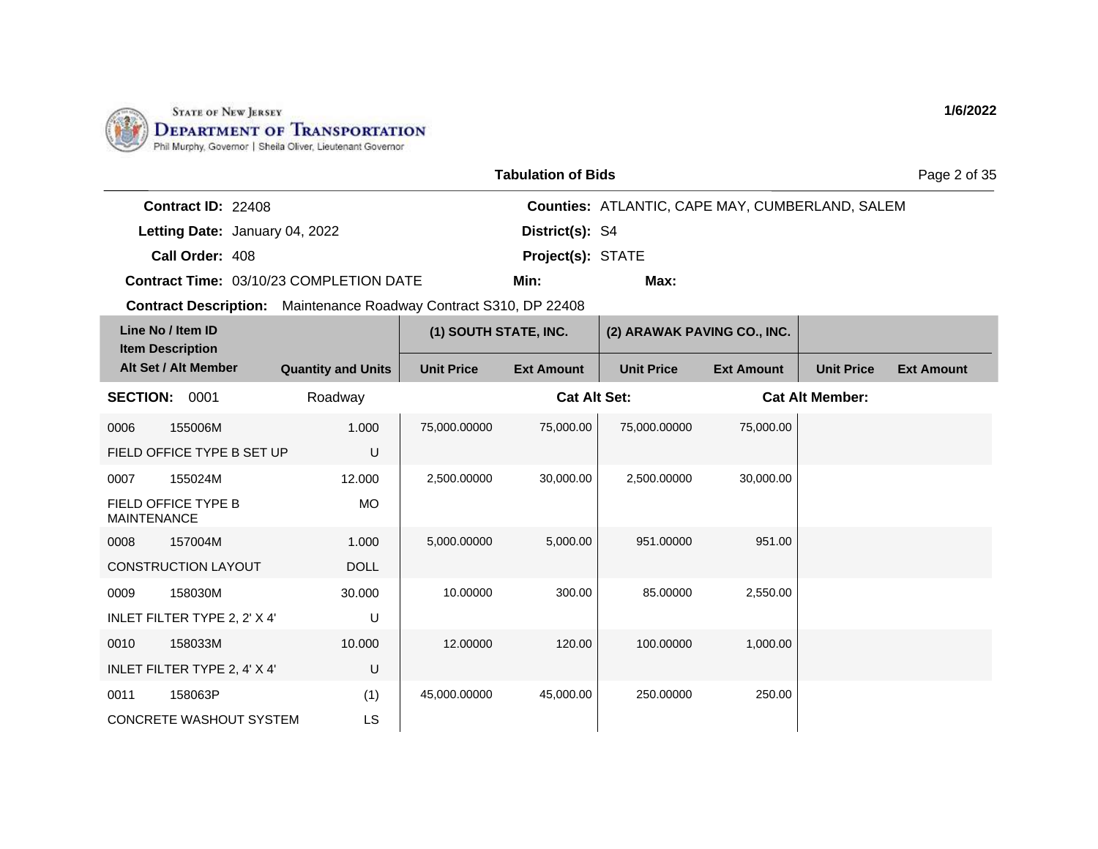

|     | <b>Tabulation of Bids</b> |                                                        |
|-----|---------------------------|--------------------------------------------------------|
|     |                           | <b>Counties: ATLANTIC. CAPE MAY. CUMBERLAND. SALEM</b> |
| )22 | District(s): S4           |                                                        |

**Letting Date:** January 04, 2022 **Conservery Construct Property** District(s): S4

**Call Order:** 408 **Project(s):** STATE

**Contract ID:** 22408

**Contract Time:** 03/10/23 COMPLETION DATE

**Min: Max:**

**Contract Description:** Maintenance Roadway Contract S310, DP 22408

|                    | Line No / Item ID<br><b>Item Description</b> |                           | (1) SOUTH STATE, INC. |                     | (2) ARAWAK PAVING CO., INC. |                   |                        |                   |
|--------------------|----------------------------------------------|---------------------------|-----------------------|---------------------|-----------------------------|-------------------|------------------------|-------------------|
|                    | Alt Set / Alt Member                         | <b>Quantity and Units</b> | <b>Unit Price</b>     | <b>Ext Amount</b>   | <b>Unit Price</b>           | <b>Ext Amount</b> | <b>Unit Price</b>      | <b>Ext Amount</b> |
| <b>SECTION:</b>    | 0001                                         | Roadway                   |                       | <b>Cat Alt Set:</b> |                             |                   | <b>Cat Alt Member:</b> |                   |
| 0006               | 155006M                                      | 1.000                     | 75,000.00000          | 75,000.00           | 75,000.00000                | 75,000.00         |                        |                   |
|                    | FIELD OFFICE TYPE B SET UP                   | U                         |                       |                     |                             |                   |                        |                   |
| 0007               | 155024M                                      | 12.000                    | 2,500.00000           | 30,000.00           | 2,500.00000                 | 30,000.00         |                        |                   |
| <b>MAINTENANCE</b> | FIELD OFFICE TYPE B                          | MO                        |                       |                     |                             |                   |                        |                   |
| 0008               | 157004M                                      | 1.000                     | 5,000.00000           | 5,000.00            | 951.00000                   | 951.00            |                        |                   |
|                    | <b>CONSTRUCTION LAYOUT</b>                   | <b>DOLL</b>               |                       |                     |                             |                   |                        |                   |
| 0009               | 158030M                                      | 30.000                    | 10.00000              | 300.00              | 85.00000                    | 2,550.00          |                        |                   |
|                    | INLET FILTER TYPE 2, 2' X 4'                 | U                         |                       |                     |                             |                   |                        |                   |
| 0010               | 158033M                                      | 10.000                    | 12.00000              | 120.00              | 100.00000                   | 1,000.00          |                        |                   |
|                    | INLET FILTER TYPE 2, 4' X 4'                 | U                         |                       |                     |                             |                   |                        |                   |
| 0011               | 158063P                                      | (1)                       | 45,000.00000          | 45,000.00           | 250,00000                   | 250.00            |                        |                   |
|                    | <b>CONCRETE WASHOUT SYSTEM</b>               | <b>LS</b>                 |                       |                     |                             |                   |                        |                   |

**1/6/2022**

Page 2 of 35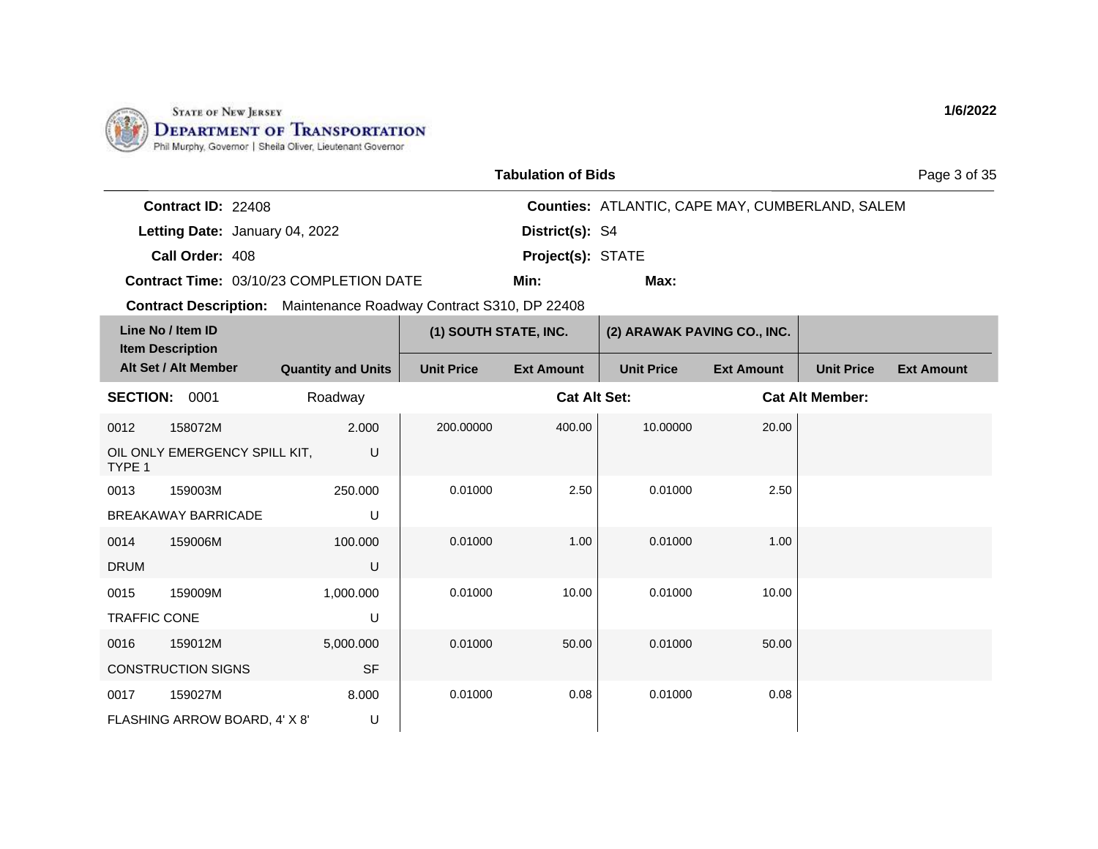

| <b>Tabulation of Bids</b> |  |
|---------------------------|--|
|---------------------------|--|

Page 3 of 35

| <b>Contract ID: 22408</b> |                                                |                          | <b>Counties: ATLANTIC, CAPE MAY, CUMBERLAND, SALEM</b> |
|---------------------------|------------------------------------------------|--------------------------|--------------------------------------------------------|
|                           | Letting Date: January 04, 2022                 | District(s): S4          |                                                        |
| Call Order: 408           |                                                | <b>Project(s): STATE</b> |                                                        |
|                           | <b>Contract Time: 03/10/23 COMPLETION DATE</b> | Min:                     | Max:                                                   |

|                     | Line No / Item ID<br><b>Item Description</b> |                           | (1) SOUTH STATE, INC. |                     | (2) ARAWAK PAVING CO., INC. |                   |                        |                   |
|---------------------|----------------------------------------------|---------------------------|-----------------------|---------------------|-----------------------------|-------------------|------------------------|-------------------|
|                     | Alt Set / Alt Member                         | <b>Quantity and Units</b> | <b>Unit Price</b>     | <b>Ext Amount</b>   | <b>Unit Price</b>           | <b>Ext Amount</b> | <b>Unit Price</b>      | <b>Ext Amount</b> |
| <b>SECTION:</b>     | 0001                                         | Roadway                   |                       | <b>Cat Alt Set:</b> |                             |                   | <b>Cat Alt Member:</b> |                   |
| 0012                | 158072M                                      | 2.000                     | 200.00000             | 400.00              | 10.00000                    | 20.00             |                        |                   |
| TYPE 1              | OIL ONLY EMERGENCY SPILL KIT,                | U                         |                       |                     |                             |                   |                        |                   |
| 0013                | 159003M                                      | 250.000                   | 0.01000               | 2.50                | 0.01000                     | 2.50              |                        |                   |
|                     | <b>BREAKAWAY BARRICADE</b>                   | U                         |                       |                     |                             |                   |                        |                   |
| 0014                | 159006M                                      | 100.000                   | 0.01000               | 1.00                | 0.01000                     | 1.00              |                        |                   |
| <b>DRUM</b>         |                                              | U                         |                       |                     |                             |                   |                        |                   |
| 0015                | 159009M                                      | 1,000.000                 | 0.01000               | 10.00               | 0.01000                     | 10.00             |                        |                   |
| <b>TRAFFIC CONE</b> |                                              | U                         |                       |                     |                             |                   |                        |                   |
| 0016                | 159012M                                      | 5,000.000                 | 0.01000               | 50.00               | 0.01000                     | 50.00             |                        |                   |
|                     | <b>CONSTRUCTION SIGNS</b>                    | <b>SF</b>                 |                       |                     |                             |                   |                        |                   |
| 0017                | 159027M                                      | 8.000                     | 0.01000               | 0.08                | 0.01000                     | 0.08              |                        |                   |
|                     | FLASHING ARROW BOARD, 4' X 8'                | U                         |                       |                     |                             |                   |                        |                   |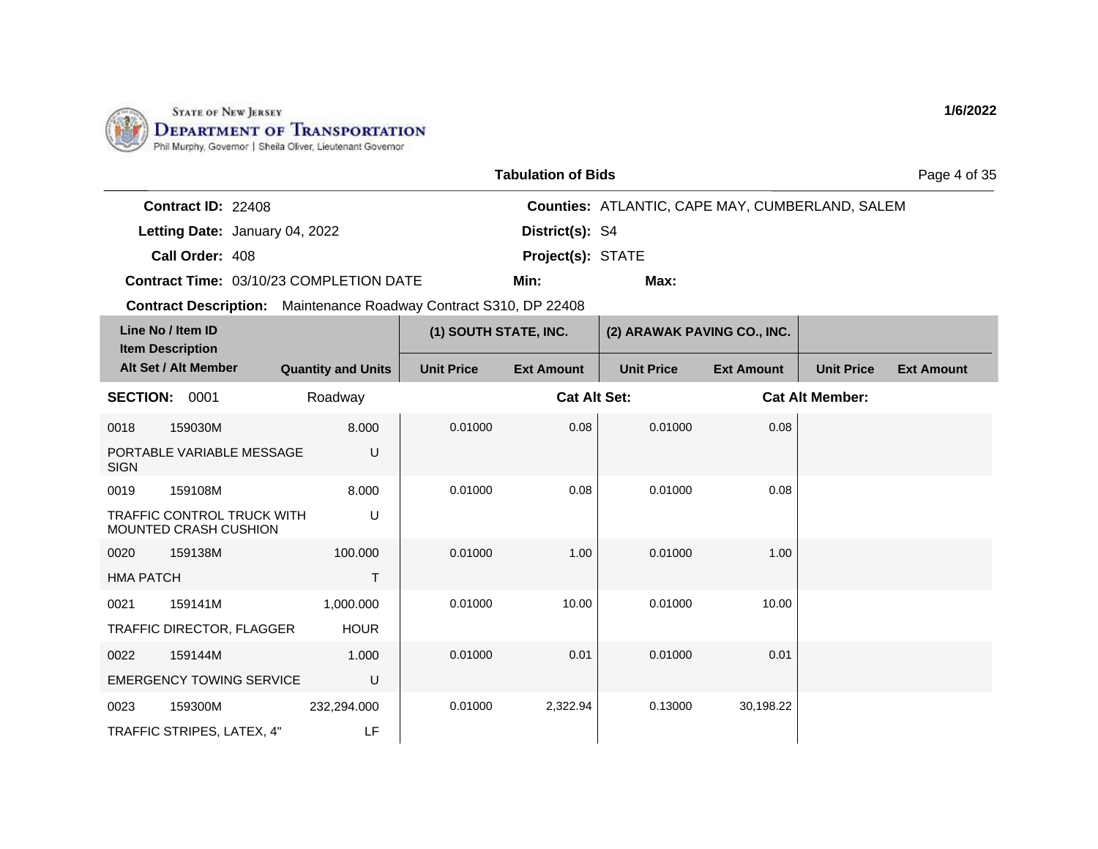

| <b>Tabulation of Bids</b> |  |
|---------------------------|--|
|---------------------------|--|

Page 4 of 35

| <b>Contract ID: 22408</b> |                                                |                          | <b>Counties: ATLANTIC, CAPE MAY, CUMBERLAND, SALEM</b> |
|---------------------------|------------------------------------------------|--------------------------|--------------------------------------------------------|
|                           | Letting Date: January 04, 2022                 | District(s): S4          |                                                        |
| Call Order: 408           |                                                | <b>Project(s): STATE</b> |                                                        |
|                           | <b>Contract Time: 03/10/23 COMPLETION DATE</b> | Min:                     | Max:                                                   |

|                  | Line No / Item ID<br><b>Item Description</b>               |                           | (1) SOUTH STATE, INC. |                     | (2) ARAWAK PAVING CO., INC. |                   |                        |                   |
|------------------|------------------------------------------------------------|---------------------------|-----------------------|---------------------|-----------------------------|-------------------|------------------------|-------------------|
|                  | Alt Set / Alt Member                                       | <b>Quantity and Units</b> | <b>Unit Price</b>     | <b>Ext Amount</b>   | <b>Unit Price</b>           | <b>Ext Amount</b> | <b>Unit Price</b>      | <b>Ext Amount</b> |
| <b>SECTION:</b>  | 0001                                                       | Roadway                   |                       | <b>Cat Alt Set:</b> |                             |                   | <b>Cat Alt Member:</b> |                   |
| 0018             | 159030M                                                    | 8.000                     | 0.01000               | 0.08                | 0.01000                     | 0.08              |                        |                   |
| <b>SIGN</b>      | PORTABLE VARIABLE MESSAGE                                  | U                         |                       |                     |                             |                   |                        |                   |
| 0019             | 159108M                                                    | 8.000                     | 0.01000               | 0.08                | 0.01000                     | 0.08              |                        |                   |
|                  | <b>TRAFFIC CONTROL TRUCK WITH</b><br>MOUNTED CRASH CUSHION | U                         |                       |                     |                             |                   |                        |                   |
| 0020             | 159138M                                                    | 100.000                   | 0.01000               | 1.00                | 0.01000                     | 1.00              |                        |                   |
| <b>HMA PATCH</b> |                                                            |                           |                       |                     |                             |                   |                        |                   |
| 0021             | 159141M                                                    | 1,000.000                 | 0.01000               | 10.00               | 0.01000                     | 10.00             |                        |                   |
|                  | TRAFFIC DIRECTOR, FLAGGER                                  | <b>HOUR</b>               |                       |                     |                             |                   |                        |                   |
| 0022             | 159144M                                                    | 1.000                     | 0.01000               | 0.01                | 0.01000                     | 0.01              |                        |                   |
|                  | <b>EMERGENCY TOWING SERVICE</b>                            | U                         |                       |                     |                             |                   |                        |                   |
| 0023             | 159300M                                                    | 232,294.000               | 0.01000               | 2,322.94            | 0.13000                     | 30,198.22         |                        |                   |
|                  | TRAFFIC STRIPES, LATEX, 4"                                 | LF                        |                       |                     |                             |                   |                        |                   |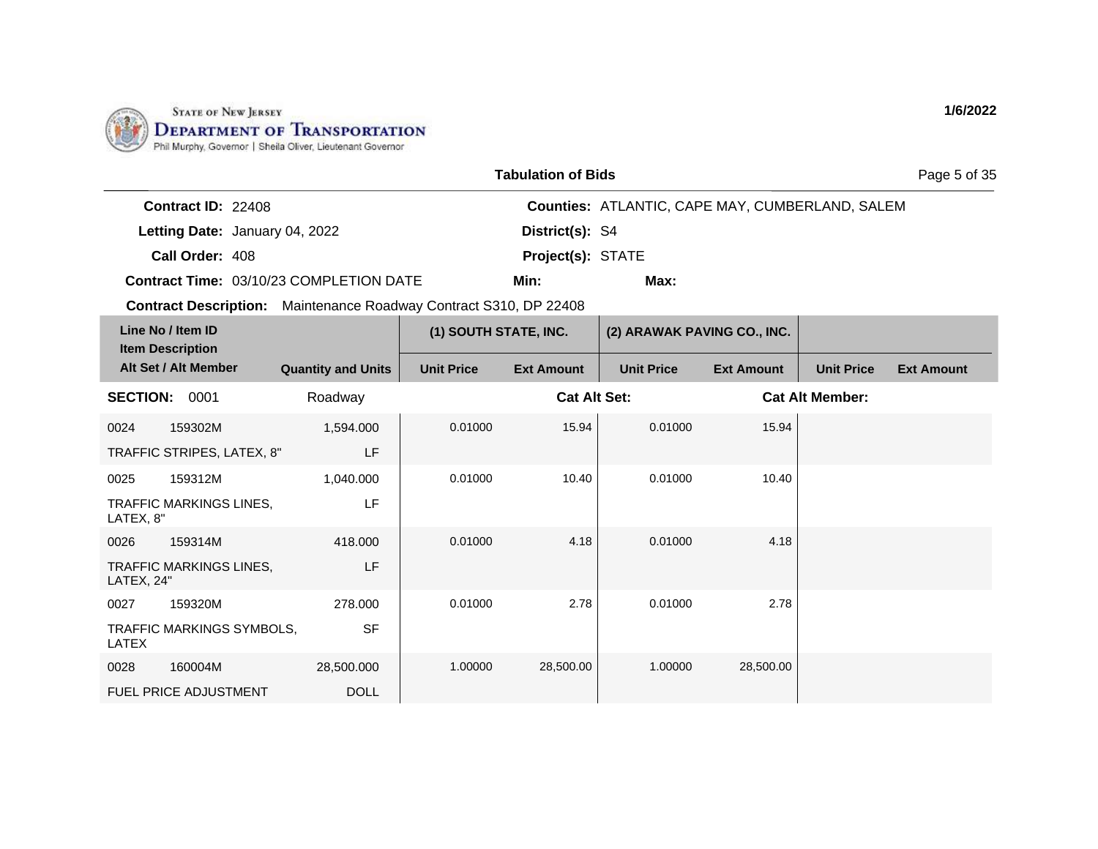

| <b>Tabulation of Bids</b> |  |
|---------------------------|--|
|---------------------------|--|

Page 5 of 35

| <b>Contract ID: 22408</b> |                                                |                          | <b>Counties: ATLANTIC, CAPE MAY, CUMBERLAND, SALEM</b> |
|---------------------------|------------------------------------------------|--------------------------|--------------------------------------------------------|
|                           | Letting Date: January 04, 2022                 | District(s): S4          |                                                        |
| Call Order: 408           |                                                | <b>Project(s): STATE</b> |                                                        |
|                           | <b>Contract Time: 03/10/23 COMPLETION DATE</b> | Min:                     | Max:                                                   |

**Contract Description:** Maintenance Roadway Contract S310, DP 22408

| Line No / Item ID<br><b>Item Description</b> |                                |                           | (1) SOUTH STATE, INC. |                     | (2) ARAWAK PAVING CO., INC. |                   |                        |                   |
|----------------------------------------------|--------------------------------|---------------------------|-----------------------|---------------------|-----------------------------|-------------------|------------------------|-------------------|
|                                              | Alt Set / Alt Member           | <b>Quantity and Units</b> | <b>Unit Price</b>     | <b>Ext Amount</b>   | <b>Unit Price</b>           | <b>Ext Amount</b> | <b>Unit Price</b>      | <b>Ext Amount</b> |
| <b>SECTION:</b>                              | 0001                           | Roadway                   |                       | <b>Cat Alt Set:</b> |                             |                   | <b>Cat Alt Member:</b> |                   |
| 0024                                         | 159302M                        | 1,594.000                 | 0.01000               | 15.94               | 0.01000                     | 15.94             |                        |                   |
|                                              | TRAFFIC STRIPES, LATEX, 8"     | LF                        |                       |                     |                             |                   |                        |                   |
| 0025                                         | 159312M                        | 1,040.000                 | 0.01000               | 10.40               | 0.01000                     | 10.40             |                        |                   |
| LATEX, 8"                                    | <b>TRAFFIC MARKINGS LINES.</b> | LF                        |                       |                     |                             |                   |                        |                   |
| 0026                                         | 159314M                        | 418.000                   | 0.01000               | 4.18                | 0.01000                     | 4.18              |                        |                   |
| LATEX, 24"                                   | <b>TRAFFIC MARKINGS LINES,</b> | LF                        |                       |                     |                             |                   |                        |                   |
| 0027                                         | 159320M                        | 278,000                   | 0.01000               | 2.78                | 0.01000                     | 2.78              |                        |                   |
| LATEX                                        | TRAFFIC MARKINGS SYMBOLS,      | <b>SF</b>                 |                       |                     |                             |                   |                        |                   |
| 0028                                         | 160004M                        | 28,500.000                | 1.00000               | 28,500.00           | 1.00000                     | 28,500.00         |                        |                   |
|                                              | <b>FUEL PRICE ADJUSTMENT</b>   | <b>DOLL</b>               |                       |                     |                             |                   |                        |                   |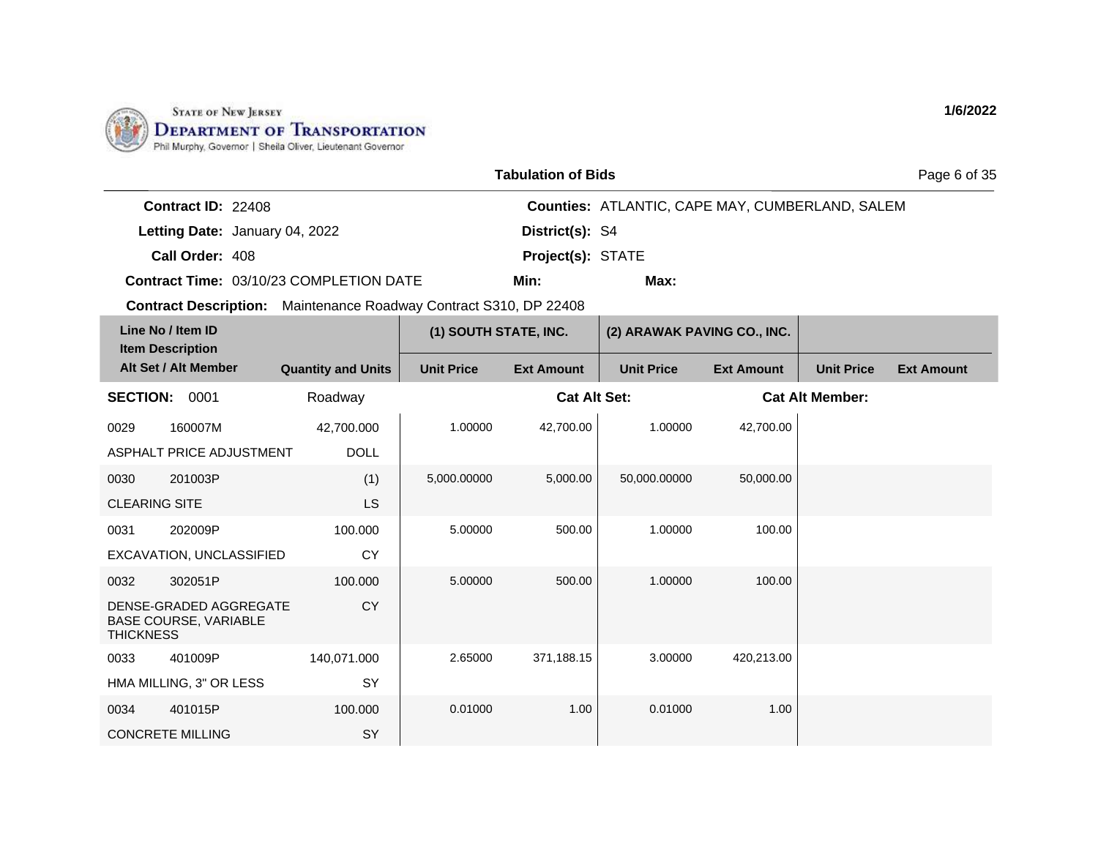

| <b>Tabulation of Bids</b> |  |  |
|---------------------------|--|--|
|---------------------------|--|--|

Page 6 of 35

| <b>Contract ID: 22408</b> |                                                |                          | <b>Counties: ATLANTIC, CAPE MAY, CUMBERLAND, SALEM</b> |
|---------------------------|------------------------------------------------|--------------------------|--------------------------------------------------------|
|                           | Letting Date: January 04, 2022                 | <b>District(s): S4</b>   |                                                        |
| Call Order: 408           |                                                | <b>Project(s): STATE</b> |                                                        |
|                           | <b>Contract Time: 03/10/23 COMPLETION DATE</b> | Min:                     | Max:                                                   |

| Line No / Item ID<br><b>Item Description</b> |                                                        |                           | (1) SOUTH STATE, INC. |                     | (2) ARAWAK PAVING CO., INC. |                   |                        |                   |
|----------------------------------------------|--------------------------------------------------------|---------------------------|-----------------------|---------------------|-----------------------------|-------------------|------------------------|-------------------|
|                                              | Alt Set / Alt Member                                   | <b>Quantity and Units</b> | <b>Unit Price</b>     | <b>Ext Amount</b>   | <b>Unit Price</b>           | <b>Ext Amount</b> | <b>Unit Price</b>      | <b>Ext Amount</b> |
| <b>SECTION:</b>                              | 0001                                                   | Roadway                   |                       | <b>Cat Alt Set:</b> |                             |                   | <b>Cat Alt Member:</b> |                   |
| 0029                                         | 160007M                                                | 42,700.000                | 1.00000               | 42,700.00           | 1.00000                     | 42,700.00         |                        |                   |
|                                              | ASPHALT PRICE ADJUSTMENT                               | <b>DOLL</b>               |                       |                     |                             |                   |                        |                   |
| 0030                                         | 201003P                                                | (1)                       | 5,000.00000           | 5,000.00            | 50,000.00000                | 50,000.00         |                        |                   |
| <b>CLEARING SITE</b>                         |                                                        | <b>LS</b>                 |                       |                     |                             |                   |                        |                   |
| 0031                                         | 202009P                                                | 100.000                   | 5.00000               | 500.00              | 1.00000                     | 100.00            |                        |                   |
|                                              | EXCAVATION, UNCLASSIFIED                               | <b>CY</b>                 |                       |                     |                             |                   |                        |                   |
| 0032                                         | 302051P                                                | 100.000                   | 5.00000               | 500.00              | 1.00000                     | 100.00            |                        |                   |
| <b>THICKNESS</b>                             | DENSE-GRADED AGGREGATE<br><b>BASE COURSE, VARIABLE</b> | <b>CY</b>                 |                       |                     |                             |                   |                        |                   |
| 0033                                         | 401009P                                                | 140,071.000               | 2.65000               | 371,188.15          | 3.00000                     | 420,213.00        |                        |                   |
|                                              | HMA MILLING, 3" OR LESS                                | SY                        |                       |                     |                             |                   |                        |                   |
| 0034                                         | 401015P                                                | 100.000                   | 0.01000               | 1.00                | 0.01000                     | 1.00              |                        |                   |
|                                              | <b>CONCRETE MILLING</b>                                | SY                        |                       |                     |                             |                   |                        |                   |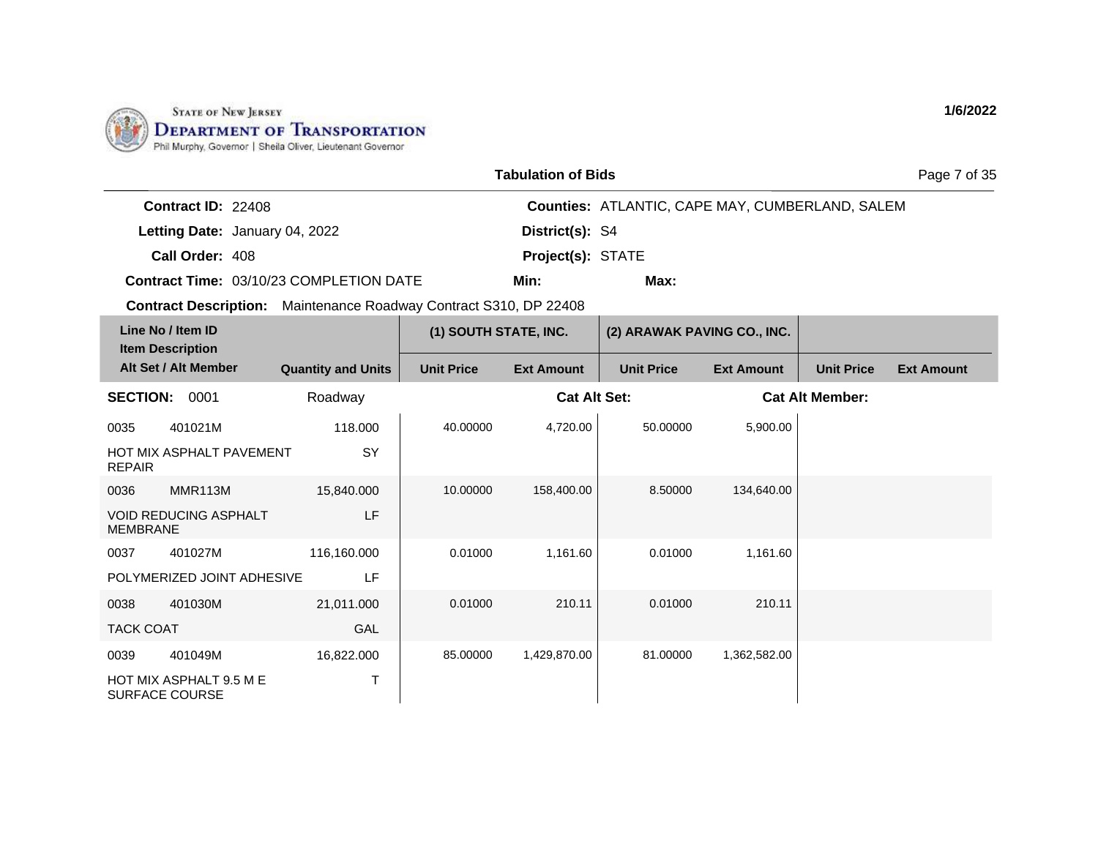

| <b>Tabulation of Bids</b> |  |
|---------------------------|--|
|---------------------------|--|

Page 7 of 35

| <b>Contract ID: 22408</b> |                                         |                          | <b>Counties: ATLANTIC, CAPE MAY, CUMBERLAND, SALEM</b> |
|---------------------------|-----------------------------------------|--------------------------|--------------------------------------------------------|
|                           | Letting Date: January 04, 2022          | <b>District(s): S4</b>   |                                                        |
| Call Order: 408           |                                         | <b>Project(s): STATE</b> |                                                        |
|                           | Contract Time: 03/10/23 COMPLETION DATE | Min:                     | Max:                                                   |

**Contract Description:** Maintenance Roadway Contract S310, DP 22408

|                  | Line No / Item ID<br><b>Item Description</b>     |                           | (1) SOUTH STATE, INC. |                     | (2) ARAWAK PAVING CO., INC. |                   |                        |                   |
|------------------|--------------------------------------------------|---------------------------|-----------------------|---------------------|-----------------------------|-------------------|------------------------|-------------------|
|                  | Alt Set / Alt Member                             | <b>Quantity and Units</b> | <b>Unit Price</b>     | <b>Ext Amount</b>   | <b>Unit Price</b>           | <b>Ext Amount</b> | <b>Unit Price</b>      | <b>Ext Amount</b> |
| <b>SECTION:</b>  | 0001                                             | Roadway                   |                       | <b>Cat Alt Set:</b> |                             |                   | <b>Cat Alt Member:</b> |                   |
| 0035             | 401021M                                          | 118.000                   | 40.00000              | 4,720.00            | 50.00000                    | 5,900.00          |                        |                   |
| <b>REPAIR</b>    | <b>HOT MIX ASPHALT PAVEMENT</b>                  | SY                        |                       |                     |                             |                   |                        |                   |
| 0036             | MMR113M                                          | 15,840.000                | 10.00000              | 158,400.00          | 8.50000                     | 134,640.00        |                        |                   |
| <b>MEMBRANE</b>  | <b>VOID REDUCING ASPHALT</b>                     | LF                        |                       |                     |                             |                   |                        |                   |
| 0037             | 401027M                                          | 116,160.000               | 0.01000               | 1,161.60            | 0.01000                     | 1,161.60          |                        |                   |
|                  | POLYMERIZED JOINT ADHESIVE                       | LF                        |                       |                     |                             |                   |                        |                   |
| 0038             | 401030M                                          | 21,011.000                | 0.01000               | 210.11              | 0.01000                     | 210.11            |                        |                   |
| <b>TACK COAT</b> |                                                  | GAL                       |                       |                     |                             |                   |                        |                   |
| 0039             | 401049M                                          | 16,822.000                | 85.00000              | 1,429,870.00        | 81.00000                    | 1,362,582.00      |                        |                   |
|                  | HOT MIX ASPHALT 9.5 M E<br><b>SURFACE COURSE</b> | т                         |                       |                     |                             |                   |                        |                   |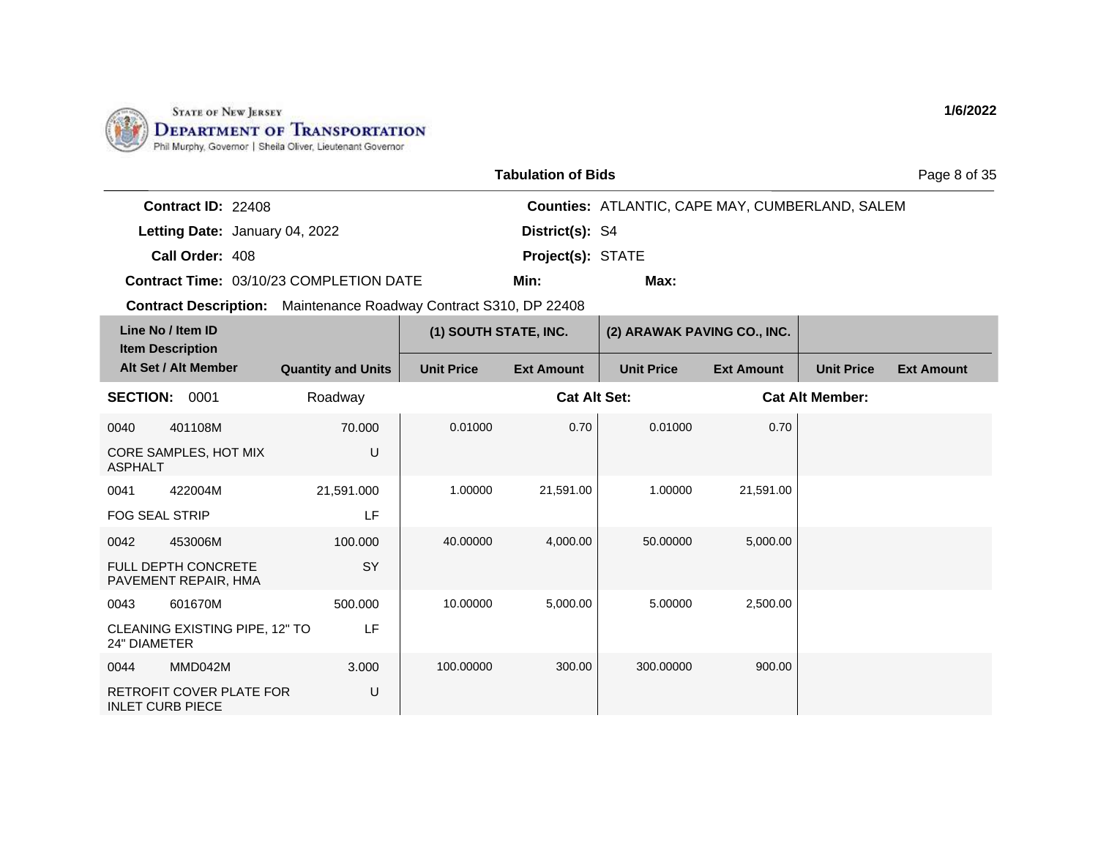

| <b>Tabulation of Bids</b> |  |
|---------------------------|--|
|---------------------------|--|

Page 8 of 35

| <b>Contract ID: 22408</b> |                                                |                          | <b>Counties: ATLANTIC, CAPE MAY, CUMBERLAND, SALEM</b> |
|---------------------------|------------------------------------------------|--------------------------|--------------------------------------------------------|
|                           | Letting Date: January 04, 2022                 | <b>District(s): S4</b>   |                                                        |
| Call Order: 408           |                                                | <b>Project(s): STATE</b> |                                                        |
|                           | <b>Contract Time: 03/10/23 COMPLETION DATE</b> | Min:                     | Max:                                                   |

|                         | Line No / Item ID<br><b>Item Description</b>       |                           | (1) SOUTH STATE, INC. |                     | (2) ARAWAK PAVING CO., INC. |                   |                        |                   |
|-------------------------|----------------------------------------------------|---------------------------|-----------------------|---------------------|-----------------------------|-------------------|------------------------|-------------------|
|                         | Alt Set / Alt Member                               | <b>Quantity and Units</b> | <b>Unit Price</b>     | <b>Ext Amount</b>   | <b>Unit Price</b>           | <b>Ext Amount</b> | <b>Unit Price</b>      | <b>Ext Amount</b> |
| <b>SECTION:</b>         | 0001                                               | Roadway                   |                       | <b>Cat Alt Set:</b> |                             |                   | <b>Cat Alt Member:</b> |                   |
| 0040                    | 401108M                                            | 70.000                    | 0.01000               | 0.70                | 0.01000                     | 0.70              |                        |                   |
| <b>ASPHALT</b>          | CORE SAMPLES, HOT MIX                              | U                         |                       |                     |                             |                   |                        |                   |
| 0041                    | 422004M                                            | 21,591.000                | 1.00000               | 21,591.00           | 1.00000                     | 21,591.00         |                        |                   |
| <b>FOG SEAL STRIP</b>   |                                                    | LF                        |                       |                     |                             |                   |                        |                   |
| 0042                    | 453006M                                            | 100.000                   | 40.00000              | 4,000.00            | 50.00000                    | 5,000.00          |                        |                   |
|                         | <b>FULL DEPTH CONCRETE</b><br>PAVEMENT REPAIR, HMA | <b>SY</b>                 |                       |                     |                             |                   |                        |                   |
| 0043                    | 601670M                                            | 500.000                   | 10.00000              | 5,000.00            | 5.00000                     | 2,500.00          |                        |                   |
| 24" DIAMETER            | CLEANING EXISTING PIPE, 12" TO                     | LF                        |                       |                     |                             |                   |                        |                   |
| 0044                    | MMD042M                                            | 3.000                     | 100.00000             | 300.00              | 300.00000                   | 900.00            |                        |                   |
| <b>INLET CURB PIECE</b> | RETROFIT COVER PLATE FOR                           | U                         |                       |                     |                             |                   |                        |                   |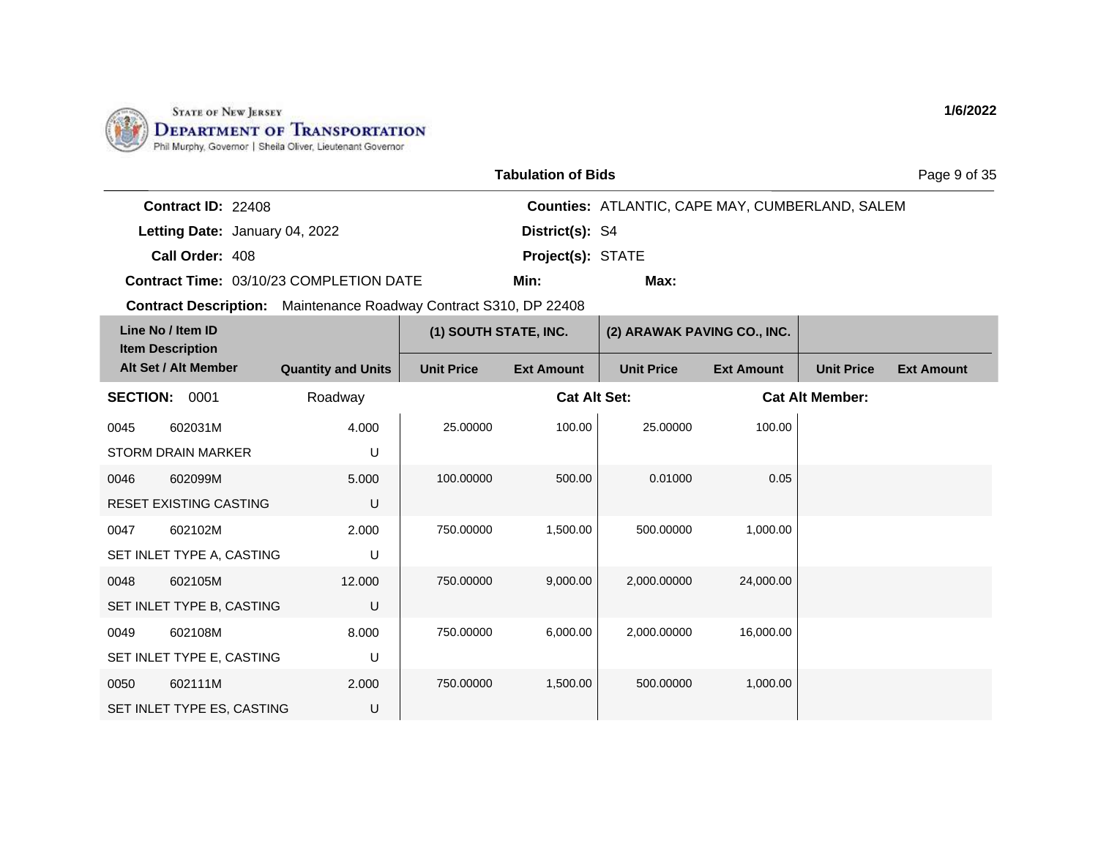

| <b>Tabulation of Bids</b> |  |
|---------------------------|--|
|---------------------------|--|

Page 9 of 35

| <b>Contract ID: 22408</b> |                                                |                          | <b>Counties: ATLANTIC, CAPE MAY, CUMBERLAND, SALEM</b> |
|---------------------------|------------------------------------------------|--------------------------|--------------------------------------------------------|
|                           | Letting Date: January 04, 2022                 | <b>District(s): S4</b>   |                                                        |
| Call Order: 408           |                                                | <b>Project(s): STATE</b> |                                                        |
|                           | <b>Contract Time: 03/10/23 COMPLETION DATE</b> | Min:                     | Max:                                                   |

**Contract Description:** Maintenance Roadway Contract S310, DP 22408

| Line No / Item ID<br><b>Item Description</b> |                            |                           | (1) SOUTH STATE, INC. |                     | (2) ARAWAK PAVING CO., INC. |                   |                        |                   |
|----------------------------------------------|----------------------------|---------------------------|-----------------------|---------------------|-----------------------------|-------------------|------------------------|-------------------|
|                                              | Alt Set / Alt Member       | <b>Quantity and Units</b> | <b>Unit Price</b>     | <b>Ext Amount</b>   | <b>Unit Price</b>           | <b>Ext Amount</b> | <b>Unit Price</b>      | <b>Ext Amount</b> |
| <b>SECTION:</b>                              | 0001                       | Roadway                   |                       | <b>Cat Alt Set:</b> |                             |                   | <b>Cat Alt Member:</b> |                   |
| 0045                                         | 602031M                    | 4.000                     | 25.00000              | 100.00              | 25.00000                    | 100.00            |                        |                   |
|                                              | <b>STORM DRAIN MARKER</b>  | U                         |                       |                     |                             |                   |                        |                   |
| 0046                                         | 602099M                    | 5.000                     | 100.00000             | 500.00              | 0.01000                     | 0.05              |                        |                   |
|                                              | RESET EXISTING CASTING     | U                         |                       |                     |                             |                   |                        |                   |
| 0047                                         | 602102M                    | 2.000                     | 750.00000             | 1,500.00            | 500.00000                   | 1,000.00          |                        |                   |
|                                              | SET INLET TYPE A, CASTING  | U                         |                       |                     |                             |                   |                        |                   |
| 0048                                         | 602105M                    | 12.000                    | 750,00000             | 9,000.00            | 2,000.00000                 | 24,000.00         |                        |                   |
|                                              | SET INLET TYPE B, CASTING  | U                         |                       |                     |                             |                   |                        |                   |
| 0049                                         | 602108M                    | 8.000                     | 750.00000             | 6,000.00            | 2,000.00000                 | 16,000.00         |                        |                   |
|                                              | SET INLET TYPE E, CASTING  | U                         |                       |                     |                             |                   |                        |                   |
| 0050                                         | 602111M                    | 2.000                     | 750.00000             | 1,500.00            | 500.00000                   | 1,000.00          |                        |                   |
|                                              | SET INLET TYPE ES, CASTING | U                         |                       |                     |                             |                   |                        |                   |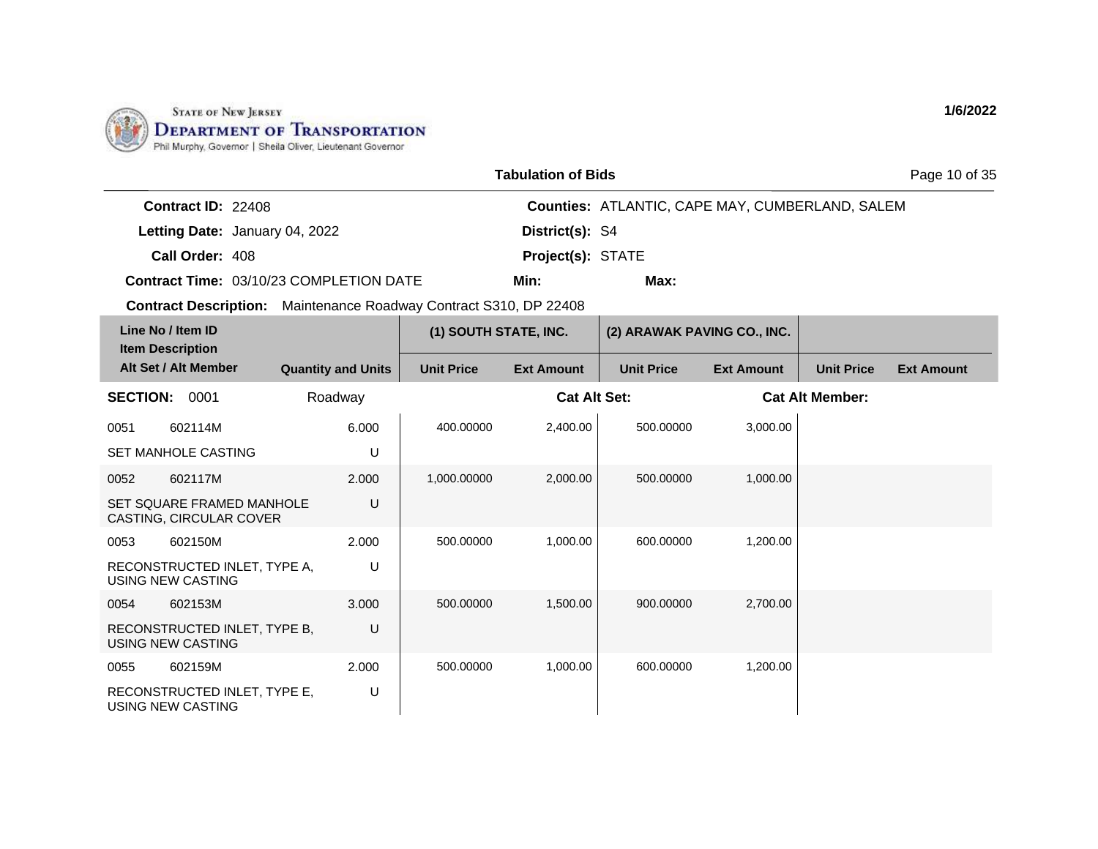

| <b>Tabulation of Bids</b> |  |
|---------------------------|--|
|---------------------------|--|

Page 10 of 35

| <b>Contract ID: 22408</b> |                                         |                          | <b>Counties: ATLANTIC, CAPE MAY, CUMBERLAND, SALEM</b> |
|---------------------------|-----------------------------------------|--------------------------|--------------------------------------------------------|
|                           | Letting Date: January 04, 2022          | District(s): S4          |                                                        |
| Call Order: 408           |                                         | <b>Project(s): STATE</b> |                                                        |
|                           | Contract Time: 03/10/23 COMPLETION DATE | Min:                     | Max:                                                   |

| Line No / Item ID<br><b>Item Description</b>         |                           | (1) SOUTH STATE, INC. |                     | (2) ARAWAK PAVING CO., INC. |                   |                        |                   |
|------------------------------------------------------|---------------------------|-----------------------|---------------------|-----------------------------|-------------------|------------------------|-------------------|
| Alt Set / Alt Member                                 | <b>Quantity and Units</b> | <b>Unit Price</b>     | <b>Ext Amount</b>   | <b>Unit Price</b>           | <b>Ext Amount</b> | <b>Unit Price</b>      | <b>Ext Amount</b> |
| <b>SECTION:</b><br>0001                              | Roadway                   |                       | <b>Cat Alt Set:</b> |                             |                   | <b>Cat Alt Member:</b> |                   |
| 0051<br>602114M                                      | 6.000                     | 400.00000             | 2,400.00            | 500.00000                   | 3,000.00          |                        |                   |
| <b>SET MANHOLE CASTING</b>                           | U                         |                       |                     |                             |                   |                        |                   |
| 0052<br>602117M                                      | 2.000                     | 1,000.00000           | 2,000.00            | 500.00000                   | 1,000.00          |                        |                   |
| SET SQUARE FRAMED MANHOLE<br>CASTING, CIRCULAR COVER | U                         |                       |                     |                             |                   |                        |                   |
| 602150M<br>0053                                      | 2.000                     | 500.00000             | 1,000.00            | 600.00000                   | 1,200.00          |                        |                   |
| RECONSTRUCTED INLET, TYPE A,<br>USING NEW CASTING    | U                         |                       |                     |                             |                   |                        |                   |
| 602153M<br>0054                                      | 3.000                     | 500.00000             | 1,500.00            | 900.00000                   | 2,700.00          |                        |                   |
| RECONSTRUCTED INLET, TYPE B.<br>USING NEW CASTING    | U                         |                       |                     |                             |                   |                        |                   |
| 602159M<br>0055                                      | 2.000                     | 500.00000             | 1,000.00            | 600.00000                   | 1,200.00          |                        |                   |
| RECONSTRUCTED INLET, TYPE E,<br>USING NEW CASTING    | U                         |                       |                     |                             |                   |                        |                   |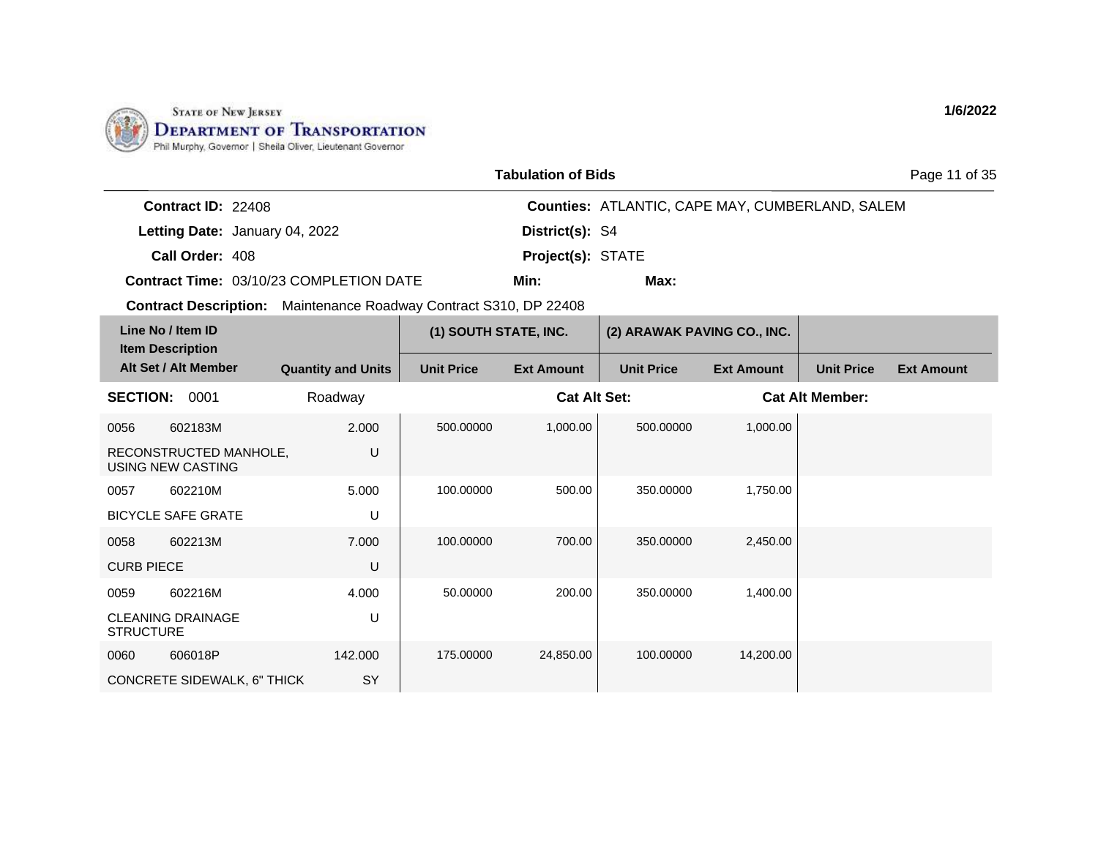

| <b>Tabulation of Bids</b> |  |
|---------------------------|--|
|---------------------------|--|

Page 11 of 35

| <b>Contract ID: 22408</b> |                                         |                          | <b>Counties: ATLANTIC, CAPE MAY, CUMBERLAND, SALEM</b> |
|---------------------------|-----------------------------------------|--------------------------|--------------------------------------------------------|
|                           | Letting Date: January 04, 2022          | <b>District(s): S4</b>   |                                                        |
| Call Order: 408           |                                         | <b>Project(s): STATE</b> |                                                        |
|                           | Contract Time: 03/10/23 COMPLETION DATE | Min:                     | Max:                                                   |

| Line No / Item ID<br><b>Item Description</b> |                                                    |                           | (1) SOUTH STATE, INC. |                     | (2) ARAWAK PAVING CO., INC. |                   |                        |                   |
|----------------------------------------------|----------------------------------------------------|---------------------------|-----------------------|---------------------|-----------------------------|-------------------|------------------------|-------------------|
|                                              | Alt Set / Alt Member                               | <b>Quantity and Units</b> | <b>Unit Price</b>     | <b>Ext Amount</b>   | <b>Unit Price</b>           | <b>Ext Amount</b> | <b>Unit Price</b>      | <b>Ext Amount</b> |
| <b>SECTION:</b>                              | 0001                                               | Roadway                   |                       | <b>Cat Alt Set:</b> |                             |                   | <b>Cat Alt Member:</b> |                   |
| 0056                                         | 602183M                                            | 2.000                     | 500.00000             | 1,000.00            | 500.00000                   | 1,000.00          |                        |                   |
|                                              | RECONSTRUCTED MANHOLE,<br><b>USING NEW CASTING</b> | U                         |                       |                     |                             |                   |                        |                   |
| 0057                                         | 602210M                                            | 5.000                     | 100.00000             | 500.00              | 350.00000                   | 1,750.00          |                        |                   |
|                                              | <b>BICYCLE SAFE GRATE</b>                          | U                         |                       |                     |                             |                   |                        |                   |
| 0058                                         | 602213M                                            | 7.000                     | 100.00000             | 700.00              | 350.00000                   | 2,450.00          |                        |                   |
| <b>CURB PIECE</b>                            |                                                    | U                         |                       |                     |                             |                   |                        |                   |
| 0059                                         | 602216M                                            | 4.000                     | 50.00000              | 200.00              | 350.00000                   | 1,400.00          |                        |                   |
| <b>STRUCTURE</b>                             | <b>CLEANING DRAINAGE</b>                           | U                         |                       |                     |                             |                   |                        |                   |
| 0060                                         | 606018P                                            | 142.000                   | 175.00000             | 24,850.00           | 100.00000                   | 14,200.00         |                        |                   |
|                                              | CONCRETE SIDEWALK, 6" THICK                        | SY                        |                       |                     |                             |                   |                        |                   |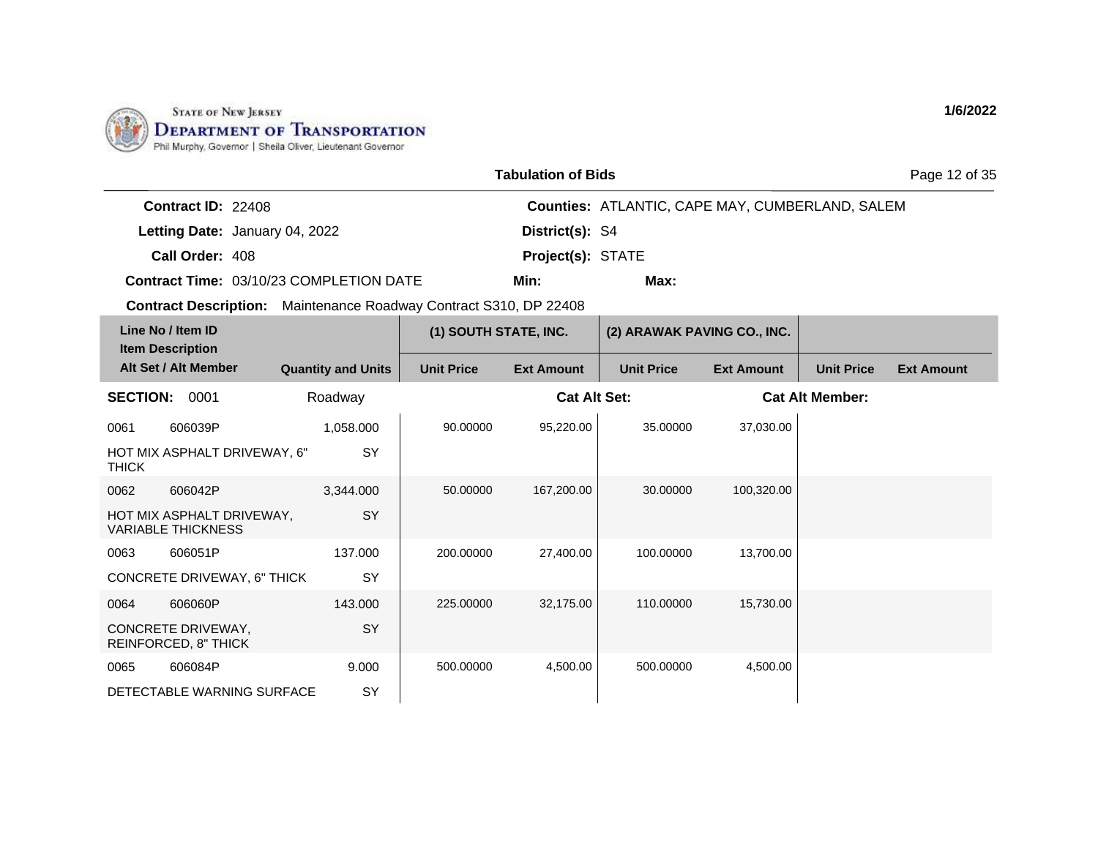

| <b>Tabulation of Bids</b> |  |
|---------------------------|--|
|---------------------------|--|

Page 12 of 35

| <b>Contract ID: 22408</b> |                                         |                          | <b>Counties: ATLANTIC, CAPE MAY, CUMBERLAND, SALEM</b> |
|---------------------------|-----------------------------------------|--------------------------|--------------------------------------------------------|
|                           | Letting Date: January 04, 2022          | <b>District(s): S4</b>   |                                                        |
| Call Order: 408           |                                         | <b>Project(s): STATE</b> |                                                        |
|                           | Contract Time: 03/10/23 COMPLETION DATE | Min:                     | Max:                                                   |

| Line No / Item ID<br><b>Item Description</b> |                                                        |                           | (1) SOUTH STATE, INC. |                     | (2) ARAWAK PAVING CO., INC. |                   |                        |                   |
|----------------------------------------------|--------------------------------------------------------|---------------------------|-----------------------|---------------------|-----------------------------|-------------------|------------------------|-------------------|
|                                              | Alt Set / Alt Member                                   | <b>Quantity and Units</b> | <b>Unit Price</b>     | <b>Ext Amount</b>   | <b>Unit Price</b>           | <b>Ext Amount</b> | <b>Unit Price</b>      | <b>Ext Amount</b> |
| <b>SECTION:</b>                              | 0001                                                   | Roadway                   |                       | <b>Cat Alt Set:</b> |                             |                   | <b>Cat Alt Member:</b> |                   |
| 0061                                         | 606039P                                                | 1,058.000                 | 90.00000              | 95,220.00           | 35,00000                    | 37,030.00         |                        |                   |
| <b>THICK</b>                                 | HOT MIX ASPHALT DRIVEWAY, 6"                           | SY                        |                       |                     |                             |                   |                        |                   |
| 0062                                         | 606042P                                                | 3,344.000                 | 50.00000              | 167,200.00          | 30.00000                    | 100,320.00        |                        |                   |
|                                              | HOT MIX ASPHALT DRIVEWAY,<br><b>VARIABLE THICKNESS</b> | <b>SY</b>                 |                       |                     |                             |                   |                        |                   |
| 0063                                         | 606051P                                                | 137.000                   | 200.00000             | 27,400.00           | 100.00000                   | 13,700.00         |                        |                   |
|                                              | CONCRETE DRIVEWAY, 6" THICK                            | <b>SY</b>                 |                       |                     |                             |                   |                        |                   |
| 0064                                         | 606060P                                                | 143.000                   | 225.00000             | 32,175.00           | 110.00000                   | 15,730.00         |                        |                   |
|                                              | CONCRETE DRIVEWAY,<br>REINFORCED, 8" THICK             | <b>SY</b>                 |                       |                     |                             |                   |                        |                   |
| 0065                                         | 606084P                                                | 9.000                     | 500.00000             | 4,500.00            | 500.00000                   | 4,500.00          |                        |                   |
|                                              | DETECTABLE WARNING SURFACE                             | SY                        |                       |                     |                             |                   |                        |                   |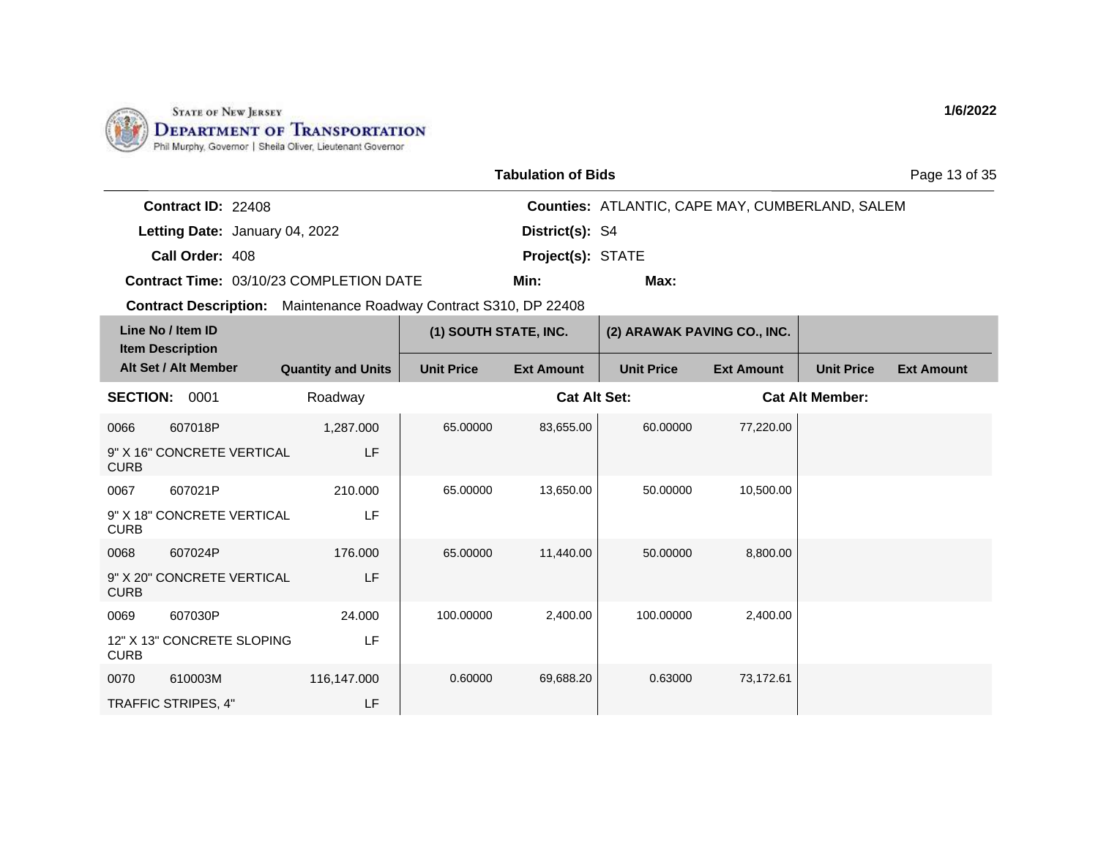

|                           |                                         | <b>Tabulation of Bids</b> |                                                        | Page 13 of 35 |
|---------------------------|-----------------------------------------|---------------------------|--------------------------------------------------------|---------------|
| <b>Contract ID: 22408</b> |                                         |                           | <b>Counties: ATLANTIC, CAPE MAY, CUMBERLAND, SALEM</b> |               |
|                           | Letting Date: January 04, 2022          | District(s): S4           |                                                        |               |
| Call Order: 408           |                                         | <b>Project(s): STATE</b>  |                                                        |               |
|                           | Contract Time: 03/10/23 COMPLETION DATE | Min:                      | Max:                                                   |               |

**Contract Description:** Maintenance Roadway Contract S310, DP 22408

| Line No / Item ID<br><b>Item Description</b> |                                       |                           | (1) SOUTH STATE, INC. |                     | (2) ARAWAK PAVING CO., INC. |                   |                        |                   |
|----------------------------------------------|---------------------------------------|---------------------------|-----------------------|---------------------|-----------------------------|-------------------|------------------------|-------------------|
|                                              | Alt Set / Alt Member                  | <b>Quantity and Units</b> | <b>Unit Price</b>     | <b>Ext Amount</b>   | <b>Unit Price</b>           | <b>Ext Amount</b> | <b>Unit Price</b>      | <b>Ext Amount</b> |
| <b>SECTION:</b>                              | 0001                                  | Roadway                   |                       | <b>Cat Alt Set:</b> |                             |                   | <b>Cat Alt Member:</b> |                   |
| 0066<br><b>CURB</b>                          | 607018P<br>9" X 16" CONCRETE VERTICAL | 1,287.000<br>LF           | 65.00000              | 83,655.00           | 60.00000                    | 77,220.00         |                        |                   |
| 0067<br><b>CURB</b>                          | 607021P<br>9" X 18" CONCRETE VERTICAL | 210.000<br>LF             | 65.00000              | 13,650.00           | 50.00000                    | 10,500.00         |                        |                   |
| 0068<br><b>CURB</b>                          | 607024P<br>9" X 20" CONCRETE VERTICAL | 176.000<br>LF             | 65.00000              | 11,440.00           | 50.00000                    | 8,800.00          |                        |                   |
| 0069<br><b>CURB</b>                          | 607030P<br>12" X 13" CONCRETE SLOPING | 24.000<br>LF              | 100.00000             | 2,400.00            | 100.00000                   | 2,400.00          |                        |                   |
| 0070                                         | 610003M<br>TRAFFIC STRIPES, 4"        | 116,147.000<br>LF         | 0.60000               | 69,688.20           | 0.63000                     | 73,172.61         |                        |                   |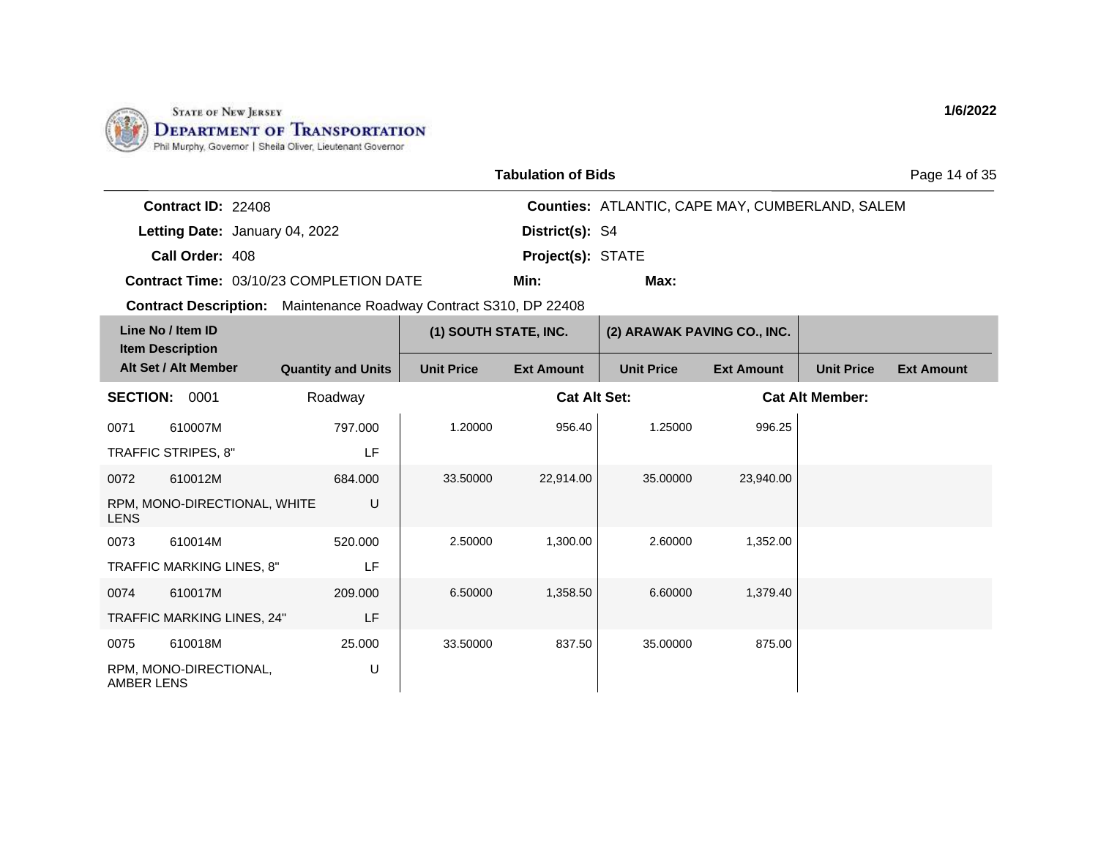

| <b>Tabulation of Bids</b> |  |
|---------------------------|--|
|---------------------------|--|

Page 14 of 35

| <b>Contract ID: 22408</b> |                                         |                          | <b>Counties: ATLANTIC, CAPE MAY, CUMBERLAND, SALEM</b> |
|---------------------------|-----------------------------------------|--------------------------|--------------------------------------------------------|
|                           | Letting Date: January 04, 2022          | <b>District(s): S4</b>   |                                                        |
| Call Order: 408           |                                         | <b>Project(s): STATE</b> |                                                        |
|                           | Contract Time: 03/10/23 COMPLETION DATE | Min:                     | Max:                                                   |

**Contract Description:** Maintenance Roadway Contract S310, DP 22408

| Line No / Item ID<br><b>Item Description</b> |                              |                           | (1) SOUTH STATE, INC. |                     | (2) ARAWAK PAVING CO., INC. |                   |                        |                   |
|----------------------------------------------|------------------------------|---------------------------|-----------------------|---------------------|-----------------------------|-------------------|------------------------|-------------------|
|                                              | Alt Set / Alt Member         | <b>Quantity and Units</b> | <b>Unit Price</b>     | <b>Ext Amount</b>   | <b>Unit Price</b>           | <b>Ext Amount</b> | <b>Unit Price</b>      | <b>Ext Amount</b> |
| <b>SECTION:</b>                              | 0001                         | Roadway                   |                       | <b>Cat Alt Set:</b> |                             |                   | <b>Cat Alt Member:</b> |                   |
| 0071                                         | 610007M                      | 797.000                   | 1.20000               | 956.40              | 1.25000                     | 996.25            |                        |                   |
|                                              | TRAFFIC STRIPES, 8"          | LF                        |                       |                     |                             |                   |                        |                   |
| 0072                                         | 610012M                      | 684.000                   | 33.50000              | 22,914.00           | 35.00000                    | 23,940.00         |                        |                   |
| <b>LENS</b>                                  | RPM, MONO-DIRECTIONAL, WHITE | U                         |                       |                     |                             |                   |                        |                   |
| 0073                                         | 610014M                      | 520,000                   | 2.50000               | 1,300.00            | 2.60000                     | 1,352.00          |                        |                   |
|                                              | TRAFFIC MARKING LINES, 8"    | LF                        |                       |                     |                             |                   |                        |                   |
| 0074                                         | 610017M                      | 209,000                   | 6.50000               | 1,358.50            | 6.60000                     | 1,379.40          |                        |                   |
|                                              | TRAFFIC MARKING LINES, 24"   | LF                        |                       |                     |                             |                   |                        |                   |
| 0075                                         | 610018M                      | 25.000                    | 33.50000              | 837.50              | 35.00000                    | 875.00            |                        |                   |
| <b>AMBER LENS</b>                            | RPM, MONO-DIRECTIONAL,       | U                         |                       |                     |                             |                   |                        |                   |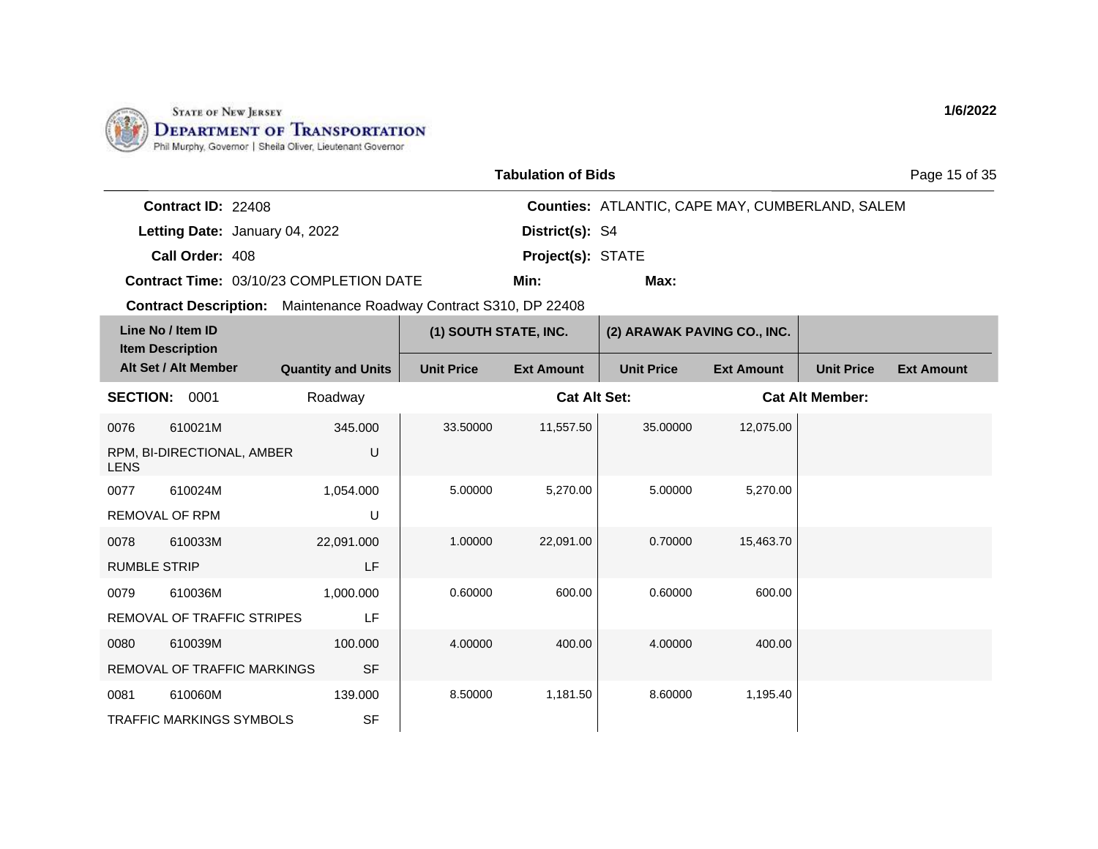

|                                | <b>Tabulation of Bids</b>                              | Page 15 of 35 |
|--------------------------------|--------------------------------------------------------|---------------|
| <b>Contract ID:</b> $22408$    | <b>Counties: ATLANTIC, CAPE MAY, CUMBERLAND, SALEM</b> |               |
| Letting Date: January 04, 2022 | District(s): S4                                        |               |
| Call Order: 408                | <b>Project(s): STATE</b>                               |               |

**Contract Time:** 03/10/23 COMPLETION DATE

**Min: Max:**

| Line No / Item ID<br><b>Item Description</b> |                                 |                           | (1) SOUTH STATE, INC. |                     | (2) ARAWAK PAVING CO., INC. |                   |                        |                   |
|----------------------------------------------|---------------------------------|---------------------------|-----------------------|---------------------|-----------------------------|-------------------|------------------------|-------------------|
|                                              | Alt Set / Alt Member            | <b>Quantity and Units</b> | <b>Unit Price</b>     | <b>Ext Amount</b>   | <b>Unit Price</b>           | <b>Ext Amount</b> | <b>Unit Price</b>      | <b>Ext Amount</b> |
| <b>SECTION:</b>                              | 0001                            | Roadway                   |                       | <b>Cat Alt Set:</b> |                             |                   | <b>Cat Alt Member:</b> |                   |
| 0076                                         | 610021M                         | 345.000                   | 33.50000              | 11,557.50           | 35.00000                    | 12,075.00         |                        |                   |
| <b>LENS</b>                                  | RPM, BI-DIRECTIONAL, AMBER      | U                         |                       |                     |                             |                   |                        |                   |
| 0077                                         | 610024M                         | 1,054.000                 | 5.00000               | 5,270.00            | 5.00000                     | 5,270.00          |                        |                   |
|                                              | <b>REMOVAL OF RPM</b>           | U                         |                       |                     |                             |                   |                        |                   |
| 0078                                         | 610033M                         | 22,091.000                | 1.00000               | 22,091.00           | 0.70000                     | 15,463.70         |                        |                   |
| <b>RUMBLE STRIP</b>                          |                                 | LF                        |                       |                     |                             |                   |                        |                   |
| 0079                                         | 610036M                         | 1,000.000                 | 0.60000               | 600.00              | 0.60000                     | 600.00            |                        |                   |
|                                              | REMOVAL OF TRAFFIC STRIPES      | LF                        |                       |                     |                             |                   |                        |                   |
| 0080                                         | 610039M                         | 100.000                   | 4.00000               | 400.00              | 4.00000                     | 400.00            |                        |                   |
|                                              | REMOVAL OF TRAFFIC MARKINGS     | <b>SF</b>                 |                       |                     |                             |                   |                        |                   |
| 0081                                         | 610060M                         | 139.000                   | 8.50000               | 1,181.50            | 8.60000                     | 1,195.40          |                        |                   |
|                                              | <b>TRAFFIC MARKINGS SYMBOLS</b> | <b>SF</b>                 |                       |                     |                             |                   |                        |                   |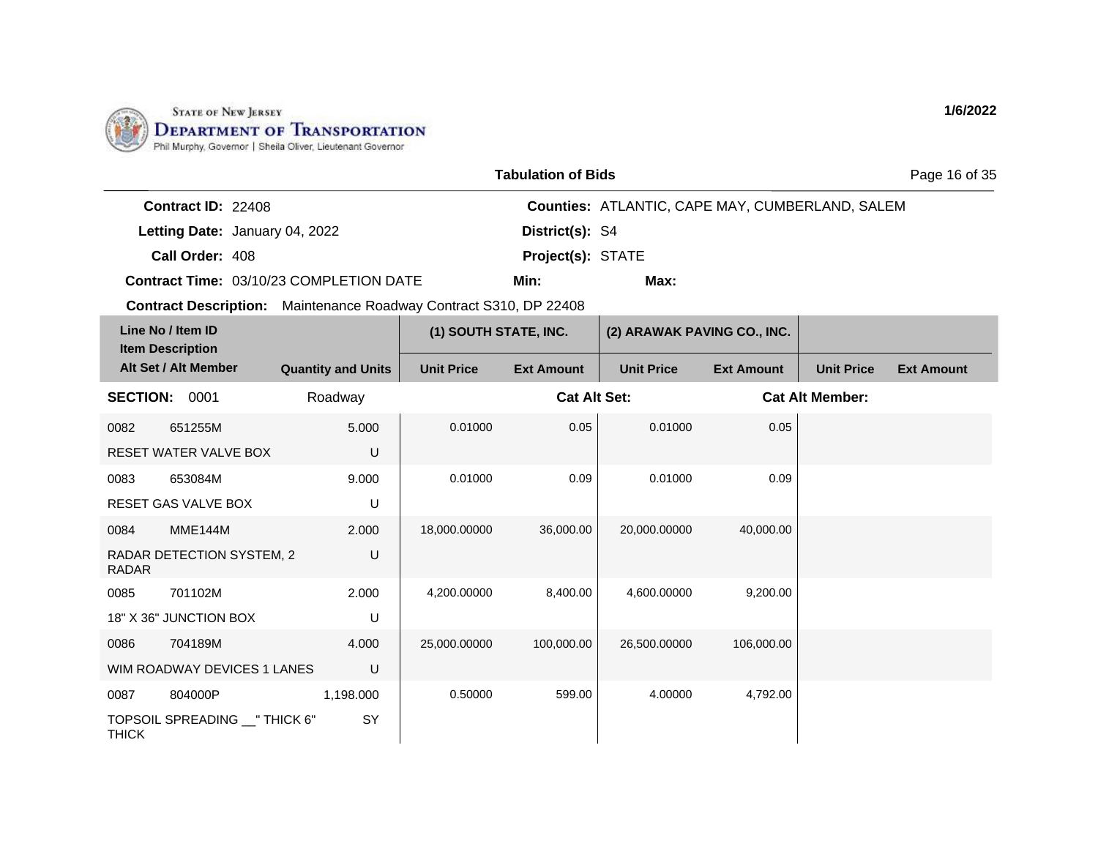

|                           |                                                                          | <b>Tabulation of Bids</b> |                                                        | Page 16 of 35 |
|---------------------------|--------------------------------------------------------------------------|---------------------------|--------------------------------------------------------|---------------|
| <b>Contract ID: 22408</b> |                                                                          |                           | <b>Counties: ATLANTIC, CAPE MAY, CUMBERLAND, SALEM</b> |               |
|                           | Letting Date: January 04, 2022                                           | District(s): S4           |                                                        |               |
| Call Order: 408           |                                                                          | <b>Project(s): STATE</b>  |                                                        |               |
|                           | <b>Contract Time: 03/10/23 COMPLETION DATE</b>                           | Min:                      | Max:                                                   |               |
|                           | <b>Contract Description:</b> Maintenance Roadway Contract S310, DP 22408 |                           |                                                        |               |

|                 | Line No / Item ID<br><b>Item Description</b> |                           | (1) SOUTH STATE, INC. |                     | (2) ARAWAK PAVING CO., INC. |                   |                        |                   |
|-----------------|----------------------------------------------|---------------------------|-----------------------|---------------------|-----------------------------|-------------------|------------------------|-------------------|
|                 | Alt Set / Alt Member                         | <b>Quantity and Units</b> | <b>Unit Price</b>     | <b>Ext Amount</b>   | <b>Unit Price</b>           | <b>Ext Amount</b> | <b>Unit Price</b>      | <b>Ext Amount</b> |
| <b>SECTION:</b> | 0001                                         | Roadway                   |                       | <b>Cat Alt Set:</b> |                             |                   | <b>Cat Alt Member:</b> |                   |
| 0082            | 651255M                                      | 5.000                     | 0.01000               | 0.05                | 0.01000                     | 0.05              |                        |                   |
|                 | <b>RESET WATER VALVE BOX</b>                 | U                         |                       |                     |                             |                   |                        |                   |
| 0083            | 653084M                                      | 9.000                     | 0.01000               | 0.09                | 0.01000                     | 0.09              |                        |                   |
|                 | <b>RESET GAS VALVE BOX</b>                   | U                         |                       |                     |                             |                   |                        |                   |
| 0084            | MME144M                                      | 2.000                     | 18,000.00000          | 36,000.00           | 20,000.00000                | 40,000.00         |                        |                   |
| <b>RADAR</b>    | RADAR DETECTION SYSTEM, 2                    | U                         |                       |                     |                             |                   |                        |                   |
| 0085            | 701102M                                      | 2.000                     | 4,200.00000           | 8,400.00            | 4,600.00000                 | 9,200.00          |                        |                   |
|                 | 18" X 36" JUNCTION BOX                       | U                         |                       |                     |                             |                   |                        |                   |
| 0086            | 704189M                                      | 4.000                     | 25,000.00000          | 100,000.00          | 26,500.00000                | 106,000.00        |                        |                   |
|                 | WIM ROADWAY DEVICES 1 LANES                  | U                         |                       |                     |                             |                   |                        |                   |
| 0087            | 804000P                                      | 1,198.000                 | 0.50000               | 599.00              | 4.00000                     | 4,792.00          |                        |                   |
| <b>THICK</b>    | TOPSOIL SPREADING __ " THICK 6"              | SY                        |                       |                     |                             |                   |                        |                   |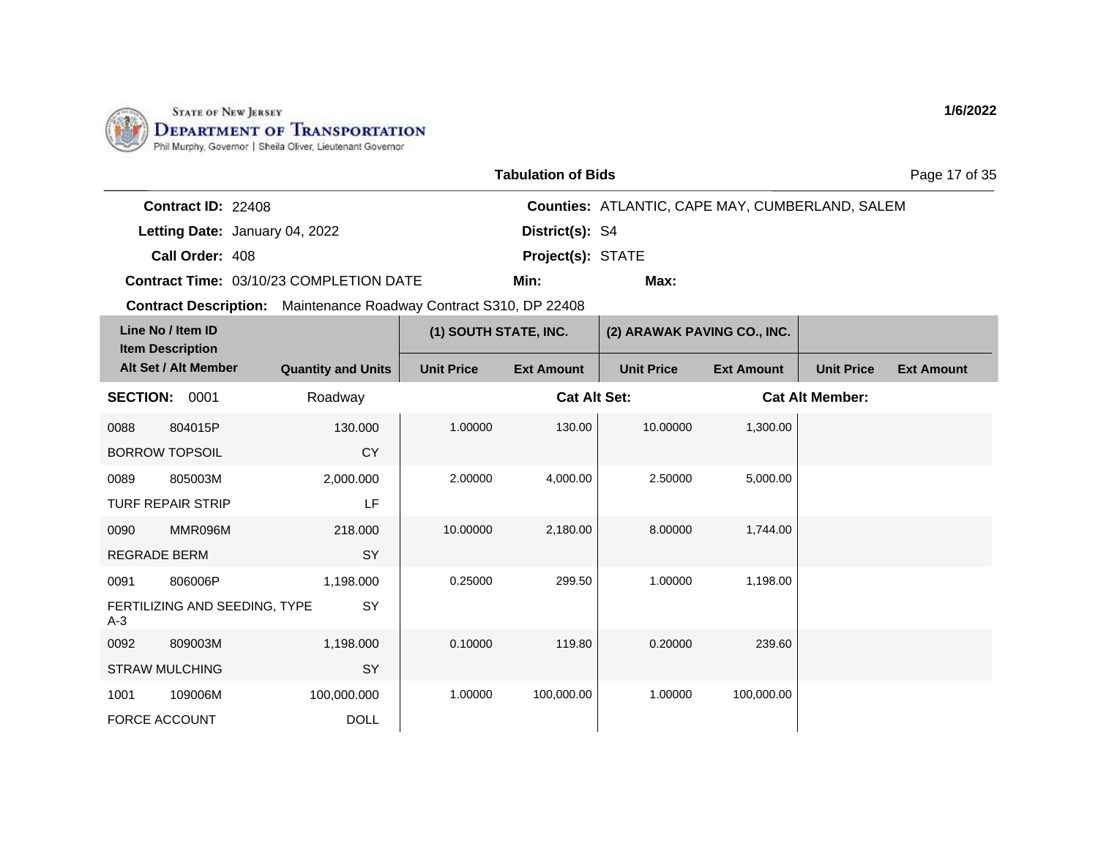

| <b>Tabulation of Bids</b> |  |
|---------------------------|--|
|---------------------------|--|

Page 17 of 35

| <b>Contract ID: 22408</b> |                                                |                          | <b>Counties: ATLANTIC, CAPE MAY, CUMBERLAND, SALEM</b> |
|---------------------------|------------------------------------------------|--------------------------|--------------------------------------------------------|
|                           | Letting Date: January 04, 2022                 | District(s): S4          |                                                        |
| Call Order: 408           |                                                | <b>Project(s): STATE</b> |                                                        |
|                           | <b>Contract Time: 03/10/23 COMPLETION DATE</b> | Min:                     | Max:                                                   |

**Contract Description:** Maintenance Roadway Contract S310, DP 22408

| Line No / Item ID<br><b>Item Description</b> |                                          |                            | (1) SOUTH STATE, INC. |                     | (2) ARAWAK PAVING CO., INC. |                   |                        |                   |
|----------------------------------------------|------------------------------------------|----------------------------|-----------------------|---------------------|-----------------------------|-------------------|------------------------|-------------------|
|                                              | Alt Set / Alt Member                     | <b>Quantity and Units</b>  | <b>Unit Price</b>     | <b>Ext Amount</b>   | <b>Unit Price</b>           | <b>Ext Amount</b> | <b>Unit Price</b>      | <b>Ext Amount</b> |
| <b>SECTION:</b>                              | 0001                                     | Roadway                    |                       | <b>Cat Alt Set:</b> |                             |                   | <b>Cat Alt Member:</b> |                   |
| 0088                                         | 804015P<br><b>BORROW TOPSOIL</b>         | 130.000<br><b>CY</b>       | 1.00000               | 130.00              | 10.00000                    | 1,300.00          |                        |                   |
| 0089                                         | 805003M<br><b>TURF REPAIR STRIP</b>      | 2,000.000<br>LF            | 2.00000               | 4,000.00            | 2.50000                     | 5,000.00          |                        |                   |
| 0090<br><b>REGRADE BERM</b>                  | MMR096M                                  | 218.000<br><b>SY</b>       | 10.00000              | 2,180.00            | 8.00000                     | 1,744.00          |                        |                   |
| 0091<br>$A-3$                                | 806006P<br>FERTILIZING AND SEEDING, TYPE | 1,198.000<br>SY            | 0.25000               | 299.50              | 1.00000                     | 1,198.00          |                        |                   |
| 0092                                         | 809003M<br><b>STRAW MULCHING</b>         | 1,198.000<br>SY            | 0.10000               | 119.80              | 0.20000                     | 239.60            |                        |                   |
| 1001<br><b>FORCE ACCOUNT</b>                 | 109006M                                  | 100,000.000<br><b>DOLL</b> | 1.00000               | 100,000.00          | 1.00000                     | 100,000.00        |                        |                   |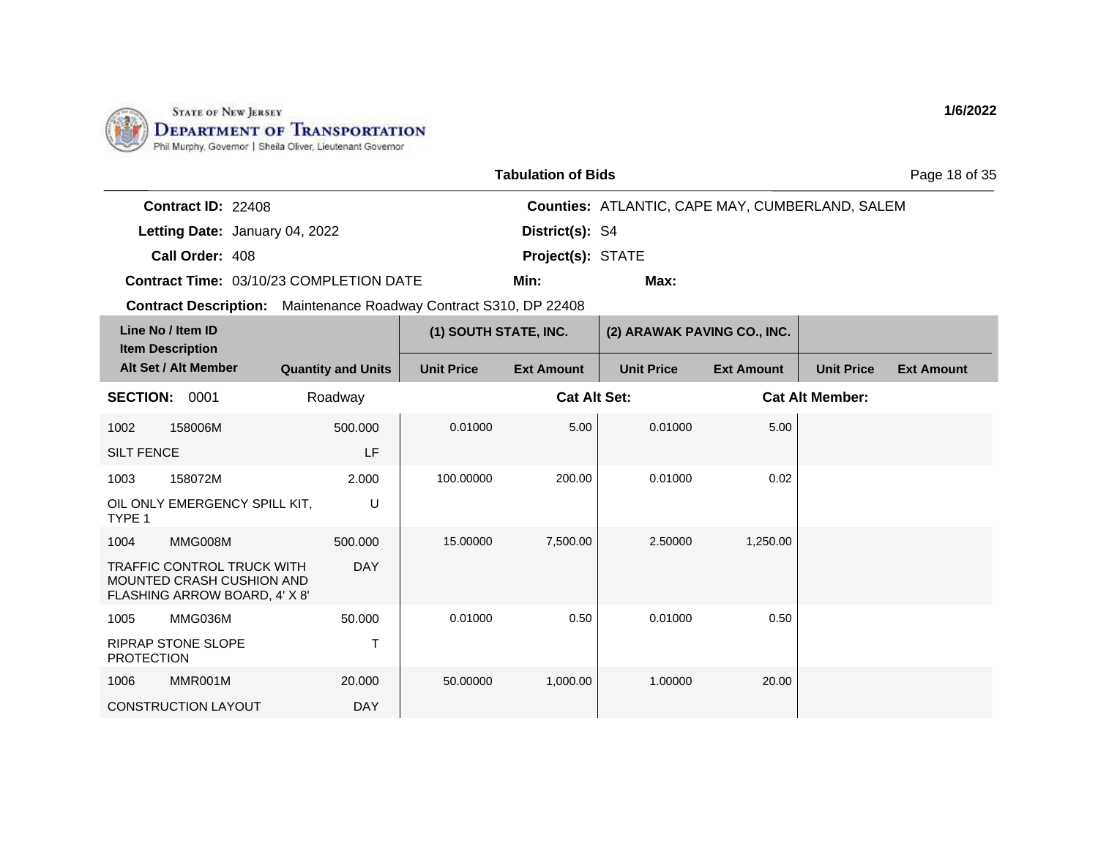

| <b>Tabulation of Bids</b> |  |
|---------------------------|--|
|---------------------------|--|

Page 18 of 35

| <b>Contract ID: 22408</b> |                                                |                          | <b>Counties: ATLANTIC, CAPE MAY, CUMBERLAND, SALEM</b> |
|---------------------------|------------------------------------------------|--------------------------|--------------------------------------------------------|
|                           | Letting Date: January 04, 2022                 | District(s): S4          |                                                        |
| Call Order: 408           |                                                | <b>Project(s): STATE</b> |                                                        |
|                           | <b>Contract Time: 03/10/23 COMPLETION DATE</b> | Min:                     | Max:                                                   |

|                   | Line No / Item ID<br><b>Item Description</b>                                                           |                           | (1) SOUTH STATE, INC. |                     | (2) ARAWAK PAVING CO., INC. |                   |                        |                   |
|-------------------|--------------------------------------------------------------------------------------------------------|---------------------------|-----------------------|---------------------|-----------------------------|-------------------|------------------------|-------------------|
|                   | Alt Set / Alt Member                                                                                   | <b>Quantity and Units</b> | <b>Unit Price</b>     | <b>Ext Amount</b>   | <b>Unit Price</b>           | <b>Ext Amount</b> | <b>Unit Price</b>      | <b>Ext Amount</b> |
| <b>SECTION:</b>   | 0001                                                                                                   | Roadway                   |                       | <b>Cat Alt Set:</b> |                             |                   | <b>Cat Alt Member:</b> |                   |
| 1002              | 158006M                                                                                                | 500.000                   | 0.01000               | 5.00                | 0.01000                     | 5.00              |                        |                   |
| <b>SILT FENCE</b> |                                                                                                        | LF                        |                       |                     |                             |                   |                        |                   |
| 1003              | 158072M                                                                                                | 2.000                     | 100.00000             | 200.00              | 0.01000                     | 0.02              |                        |                   |
| TYPE 1            | OIL ONLY EMERGENCY SPILL KIT,                                                                          | U                         |                       |                     |                             |                   |                        |                   |
| 1004              | MMG008M                                                                                                | 500,000                   | 15.00000              | 7,500.00            | 2.50000                     | 1,250.00          |                        |                   |
|                   | <b>TRAFFIC CONTROL TRUCK WITH</b><br><b>MOUNTED CRASH CUSHION AND</b><br>FLASHING ARROW BOARD, 4' X 8' | <b>DAY</b>                |                       |                     |                             |                   |                        |                   |
| 1005              | MMG036M                                                                                                | 50.000                    | 0.01000               | 0.50                | 0.01000                     | 0.50              |                        |                   |
| <b>PROTECTION</b> | <b>RIPRAP STONE SLOPE</b>                                                                              |                           |                       |                     |                             |                   |                        |                   |
| 1006              | MMR001M                                                                                                | 20,000                    | 50.00000              | 1,000.00            | 1.00000                     | 20.00             |                        |                   |
|                   | CONSTRUCTION LAYOUT                                                                                    | <b>DAY</b>                |                       |                     |                             |                   |                        |                   |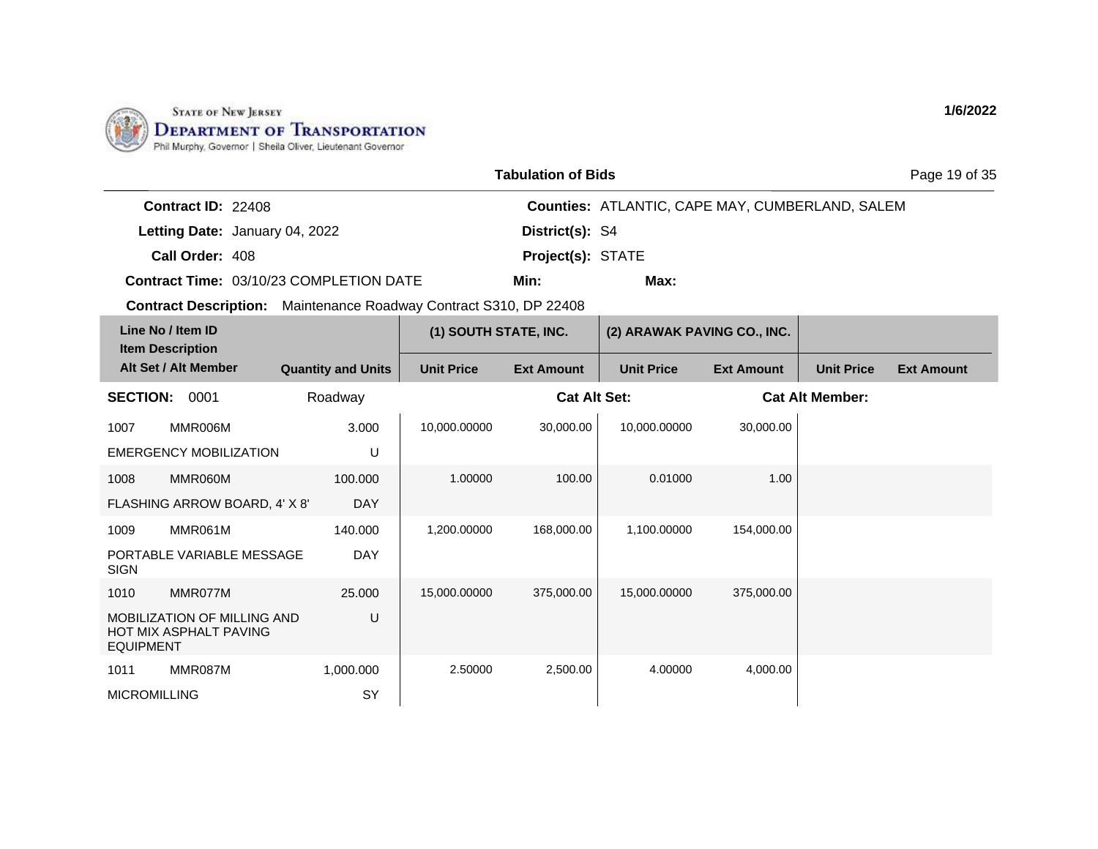

|                           |                                         | <b>Tabulation of Bids</b> |                                                 | Page 19 of 35 |
|---------------------------|-----------------------------------------|---------------------------|-------------------------------------------------|---------------|
| <b>Contract ID: 22408</b> |                                         |                           | Counties: ATLANTIC, CAPE MAY, CUMBERLAND, SALEM |               |
|                           | Letting Date: January 04, 2022          | District(s): S4           |                                                 |               |
| Call Order: 408           |                                         | <b>Project(s): STATE</b>  |                                                 |               |
|                           | Contract Time: 03/10/23 COMPLETION DATE | Min:                      | Max:                                            |               |

**Contract Description:** Maintenance Roadway Contract S310, DP 22408

|                     | Line No / Item ID<br><b>Item Description</b>                        |                           | (1) SOUTH STATE, INC. |                     | (2) ARAWAK PAVING CO., INC. |                   |                        |                   |
|---------------------|---------------------------------------------------------------------|---------------------------|-----------------------|---------------------|-----------------------------|-------------------|------------------------|-------------------|
|                     | Alt Set / Alt Member                                                | <b>Quantity and Units</b> | <b>Unit Price</b>     | <b>Ext Amount</b>   | <b>Unit Price</b>           | <b>Ext Amount</b> | <b>Unit Price</b>      | <b>Ext Amount</b> |
| <b>SECTION:</b>     | 0001                                                                | Roadway                   |                       | <b>Cat Alt Set:</b> |                             |                   | <b>Cat Alt Member:</b> |                   |
| 1007                | MMR006M                                                             | 3.000                     | 10,000.00000          | 30,000.00           | 10,000.00000                | 30,000.00         |                        |                   |
|                     | <b>EMERGENCY MOBILIZATION</b>                                       | U                         |                       |                     |                             |                   |                        |                   |
| 1008                | MMR060M                                                             | 100.000                   | 1.00000               | 100.00              | 0.01000                     | 1.00              |                        |                   |
|                     | FLASHING ARROW BOARD, 4' X 8'                                       | <b>DAY</b>                |                       |                     |                             |                   |                        |                   |
| 1009                | MMR061M                                                             | 140.000                   | 1,200.00000           | 168,000.00          | 1,100.00000                 | 154,000.00        |                        |                   |
| <b>SIGN</b>         | PORTABLE VARIABLE MESSAGE                                           | <b>DAY</b>                |                       |                     |                             |                   |                        |                   |
| 1010                | MMR077M                                                             | 25.000                    | 15,000.00000          | 375,000.00          | 15,000.00000                | 375,000.00        |                        |                   |
| <b>EQUIPMENT</b>    | <b>MOBILIZATION OF MILLING AND</b><br><b>HOT MIX ASPHALT PAVING</b> | U                         |                       |                     |                             |                   |                        |                   |
| 1011                | MMR087M                                                             | 1,000.000                 | 2.50000               | 2,500.00            | 4.00000                     | 4,000.00          |                        |                   |
| <b>MICROMILLING</b> |                                                                     | <b>SY</b>                 |                       |                     |                             |                   |                        |                   |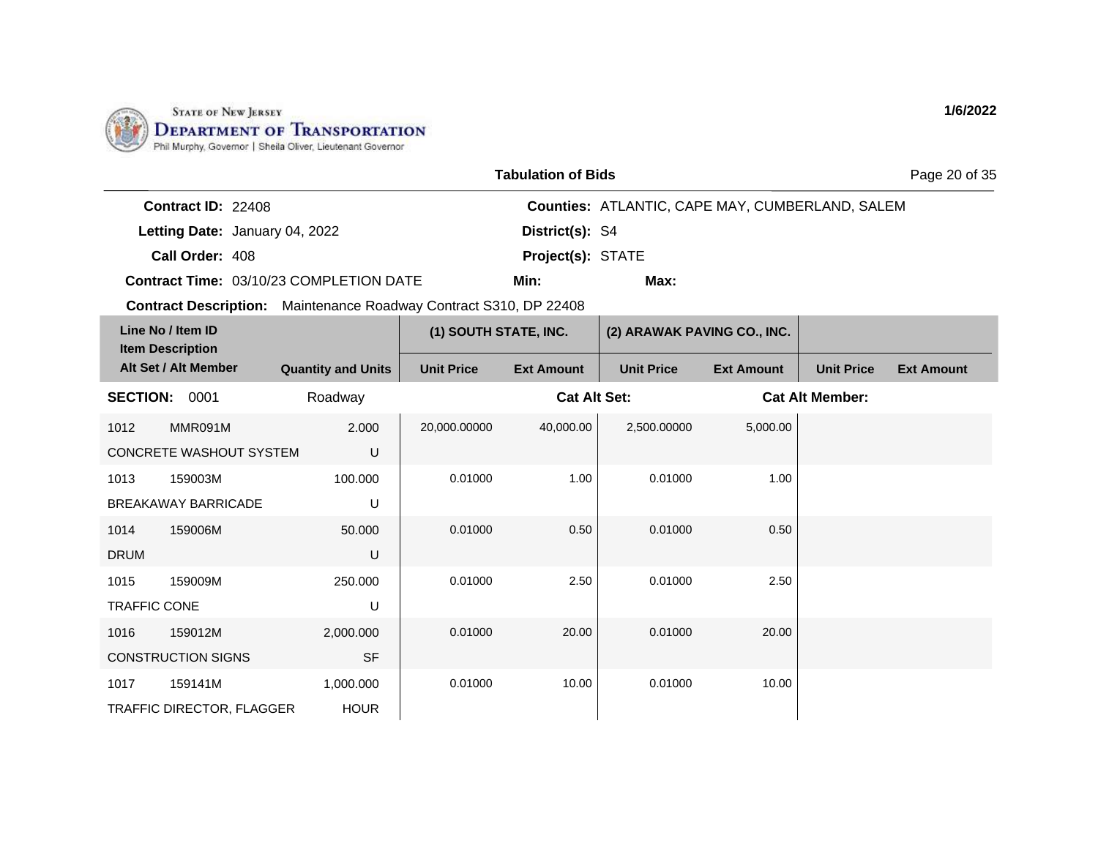

|                           |                                                                          | <b>Tabulation of Bids</b> |                                                        | Page 20 of 35 |
|---------------------------|--------------------------------------------------------------------------|---------------------------|--------------------------------------------------------|---------------|
| <b>Contract ID: 22408</b> |                                                                          |                           | <b>Counties: ATLANTIC, CAPE MAY, CUMBERLAND, SALEM</b> |               |
|                           | Letting Date: January 04, 2022                                           | District(s): S4           |                                                        |               |
| Call Order: 408           |                                                                          | <b>Project(s): STATE</b>  |                                                        |               |
|                           | <b>Contract Time: 03/10/23 COMPLETION DATE</b>                           | Min:                      | Max:                                                   |               |
|                           | <b>Contract Description:</b> Maintenance Roadway Contract S310, DP 22408 |                           |                                                        |               |

|                     | Line No / Item ID<br><b>Item Description</b> |                           | (1) SOUTH STATE, INC. |                     | (2) ARAWAK PAVING CO., INC. |                   |                        |                   |
|---------------------|----------------------------------------------|---------------------------|-----------------------|---------------------|-----------------------------|-------------------|------------------------|-------------------|
|                     | Alt Set / Alt Member                         | <b>Quantity and Units</b> | <b>Unit Price</b>     | <b>Ext Amount</b>   | <b>Unit Price</b>           | <b>Ext Amount</b> | <b>Unit Price</b>      | <b>Ext Amount</b> |
| <b>SECTION:</b>     | 0001                                         | Roadway                   |                       | <b>Cat Alt Set:</b> |                             |                   | <b>Cat Alt Member:</b> |                   |
| 1012                | MMR091M                                      | 2.000                     | 20,000.00000          | 40,000.00           | 2,500.00000                 | 5,000.00          |                        |                   |
|                     | CONCRETE WASHOUT SYSTEM                      | U                         |                       |                     |                             |                   |                        |                   |
| 1013                | 159003M                                      | 100.000                   | 0.01000               | 1.00                | 0.01000                     | 1.00              |                        |                   |
|                     | <b>BREAKAWAY BARRICADE</b>                   | U                         |                       |                     |                             |                   |                        |                   |
| 1014                | 159006M                                      | 50.000                    | 0.01000               | 0.50                | 0.01000                     | 0.50              |                        |                   |
| <b>DRUM</b>         |                                              | U                         |                       |                     |                             |                   |                        |                   |
| 1015                | 159009M                                      | 250.000                   | 0.01000               | 2.50                | 0.01000                     | 2.50              |                        |                   |
| <b>TRAFFIC CONE</b> |                                              | U                         |                       |                     |                             |                   |                        |                   |
| 1016                | 159012M                                      | 2,000.000                 | 0.01000               | 20.00               | 0.01000                     | 20.00             |                        |                   |
|                     | <b>CONSTRUCTION SIGNS</b>                    | <b>SF</b>                 |                       |                     |                             |                   |                        |                   |
| 1017                | 159141M                                      | 1,000.000                 | 0.01000               | 10.00               | 0.01000                     | 10.00             |                        |                   |
|                     | TRAFFIC DIRECTOR, FLAGGER                    | <b>HOUR</b>               |                       |                     |                             |                   |                        |                   |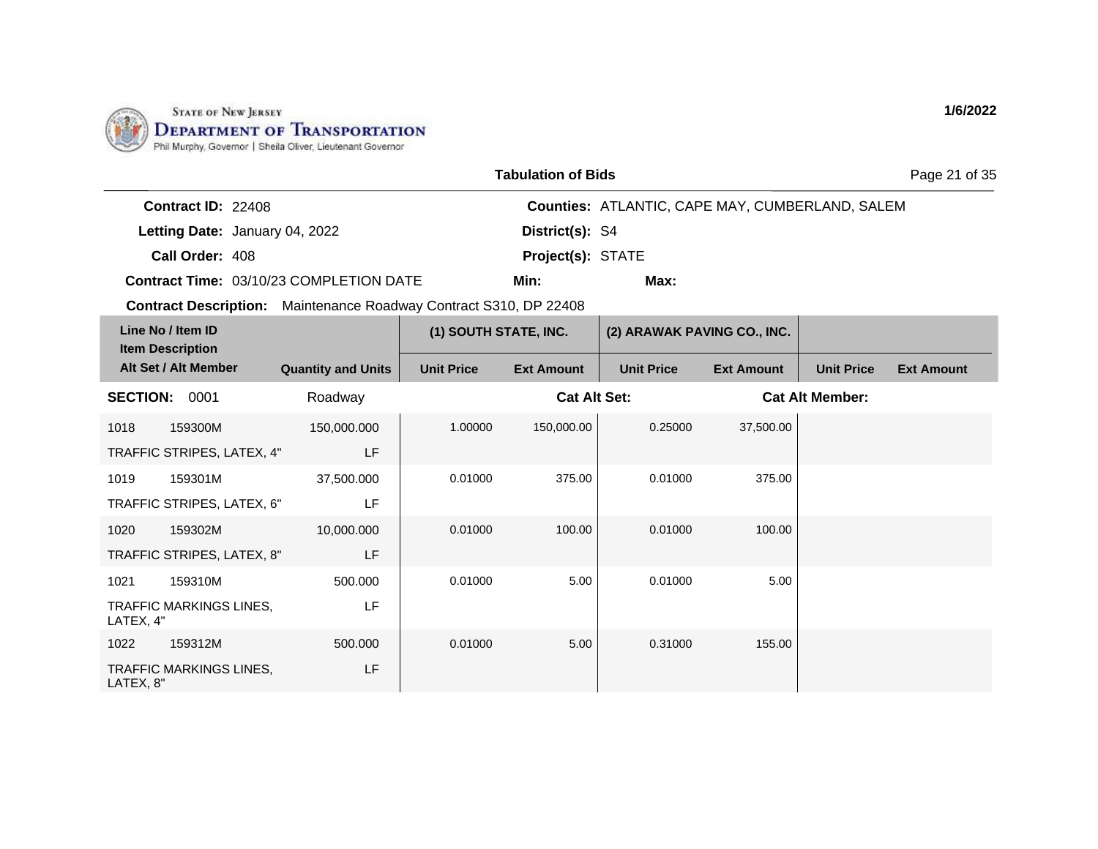

|                                       |                                                | <b>Tabulation of Bids</b>                                                |                                                        | Page 21 of 35 |
|---------------------------------------|------------------------------------------------|--------------------------------------------------------------------------|--------------------------------------------------------|---------------|
| <b>Contract ID: 22408</b>             |                                                |                                                                          | <b>Counties: ATLANTIC, CAPE MAY, CUMBERLAND, SALEM</b> |               |
|                                       | Letting Date: January 04, 2022                 | District(s): S4                                                          |                                                        |               |
| Call Order: 408                       |                                                | Project(s): STATE                                                        |                                                        |               |
|                                       | <b>Contract Time: 03/10/23 COMPLETION DATE</b> | Min:                                                                     | Max:                                                   |               |
|                                       |                                                | <b>Contract Description:</b> Maintenance Roadway Contract S310, DP 22408 |                                                        |               |
| Line No / Item ID<br>Itam Deceription |                                                | (1) SOUTH STATE, INC.                                                    | (2) ARAWAK PAVING CO., INC.                            |               |

| <b>Item Description</b> |                                |                           |                   |                     |                   |                   |                        |                   |
|-------------------------|--------------------------------|---------------------------|-------------------|---------------------|-------------------|-------------------|------------------------|-------------------|
|                         | Alt Set / Alt Member           | <b>Quantity and Units</b> | <b>Unit Price</b> | <b>Ext Amount</b>   | <b>Unit Price</b> | <b>Ext Amount</b> | <b>Unit Price</b>      | <b>Ext Amount</b> |
| <b>SECTION:</b>         | 0001                           | Roadway                   |                   | <b>Cat Alt Set:</b> |                   |                   | <b>Cat Alt Member:</b> |                   |
| 1018                    | 159300M                        | 150,000.000               | 1.00000           | 150,000.00          | 0.25000           | 37,500.00         |                        |                   |
|                         | TRAFFIC STRIPES, LATEX, 4"     | LF                        |                   |                     |                   |                   |                        |                   |
| 1019                    | 159301M                        | 37,500.000                | 0.01000           | 375.00              | 0.01000           | 375.00            |                        |                   |
|                         | TRAFFIC STRIPES, LATEX, 6"     | LF                        |                   |                     |                   |                   |                        |                   |
| 1020                    | 159302M                        | 10,000.000                | 0.01000           | 100.00              | 0.01000           | 100.00            |                        |                   |
|                         | TRAFFIC STRIPES, LATEX, 8"     | LF                        |                   |                     |                   |                   |                        |                   |
| 1021                    | 159310M                        | 500.000                   | 0.01000           | 5.00                | 0.01000           | 5.00              |                        |                   |
| LATEX, 4"               | <b>TRAFFIC MARKINGS LINES.</b> | LF                        |                   |                     |                   |                   |                        |                   |
| 1022                    | 159312M                        | 500.000                   | 0.01000           | 5.00                | 0.31000           | 155.00            |                        |                   |
| LATEX, 8"               | TRAFFIC MARKINGS LINES,        | LF                        |                   |                     |                   |                   |                        |                   |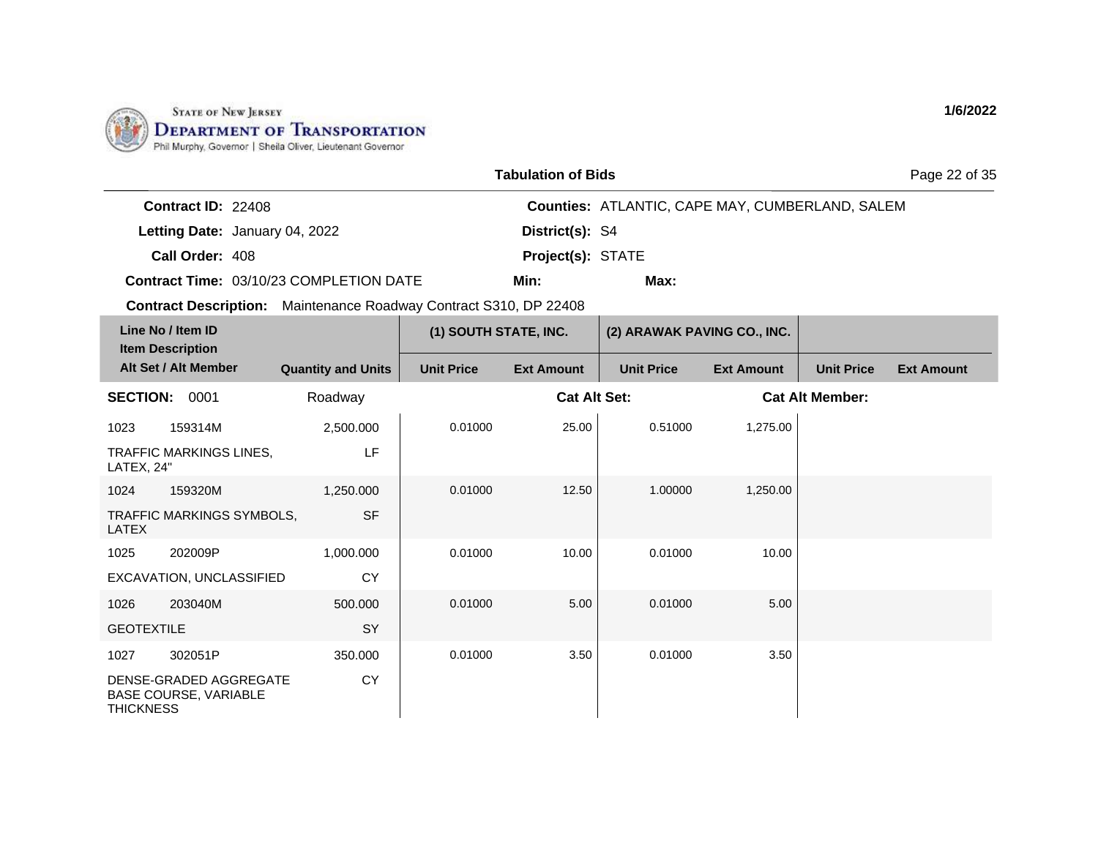

|  | <b>Tabulation of Bids</b> |  |  |
|--|---------------------------|--|--|
|--|---------------------------|--|--|

Page 22 of 35

| <b>Contract ID: 22408</b> |                                         |                          | <b>Counties: ATLANTIC, CAPE MAY, CUMBERLAND, SALEM</b> |
|---------------------------|-----------------------------------------|--------------------------|--------------------------------------------------------|
|                           | Letting Date: January 04, 2022          | District(s): S4          |                                                        |
| Call Order: 408           |                                         | <b>Project(s): STATE</b> |                                                        |
|                           | Contract Time: 03/10/23 COMPLETION DATE | Min:                     | Max:                                                   |

|                   | Line No / Item ID<br><b>Item Description</b>           |                           | (1) SOUTH STATE, INC. |                     | (2) ARAWAK PAVING CO., INC. |                   |                        |                   |
|-------------------|--------------------------------------------------------|---------------------------|-----------------------|---------------------|-----------------------------|-------------------|------------------------|-------------------|
|                   | Alt Set / Alt Member                                   | <b>Quantity and Units</b> | <b>Unit Price</b>     | <b>Ext Amount</b>   | <b>Unit Price</b>           | <b>Ext Amount</b> | <b>Unit Price</b>      | <b>Ext Amount</b> |
| <b>SECTION:</b>   | 0001                                                   | Roadway                   |                       | <b>Cat Alt Set:</b> |                             |                   | <b>Cat Alt Member:</b> |                   |
| 1023              | 159314M                                                | 2,500.000                 | 0.01000               | 25.00               | 0.51000                     | 1,275.00          |                        |                   |
| LATEX, 24"        | <b>TRAFFIC MARKINGS LINES,</b>                         | LF                        |                       |                     |                             |                   |                        |                   |
| 1024              | 159320M                                                | 1,250.000                 | 0.01000               | 12.50               | 1.00000                     | 1,250.00          |                        |                   |
| LATEX             | TRAFFIC MARKINGS SYMBOLS,                              | <b>SF</b>                 |                       |                     |                             |                   |                        |                   |
| 1025              | 202009P                                                | 1,000.000                 | 0.01000               | 10.00               | 0.01000                     | 10.00             |                        |                   |
|                   | EXCAVATION, UNCLASSIFIED                               | <b>CY</b>                 |                       |                     |                             |                   |                        |                   |
| 1026              | 203040M                                                | 500.000                   | 0.01000               | 5.00                | 0.01000                     | 5.00              |                        |                   |
| <b>GEOTEXTILE</b> |                                                        | SY                        |                       |                     |                             |                   |                        |                   |
| 1027              | 302051P                                                | 350.000                   | 0.01000               | 3.50                | 0.01000                     | 3.50              |                        |                   |
| <b>THICKNESS</b>  | DENSE-GRADED AGGREGATE<br><b>BASE COURSE, VARIABLE</b> | <b>CY</b>                 |                       |                     |                             |                   |                        |                   |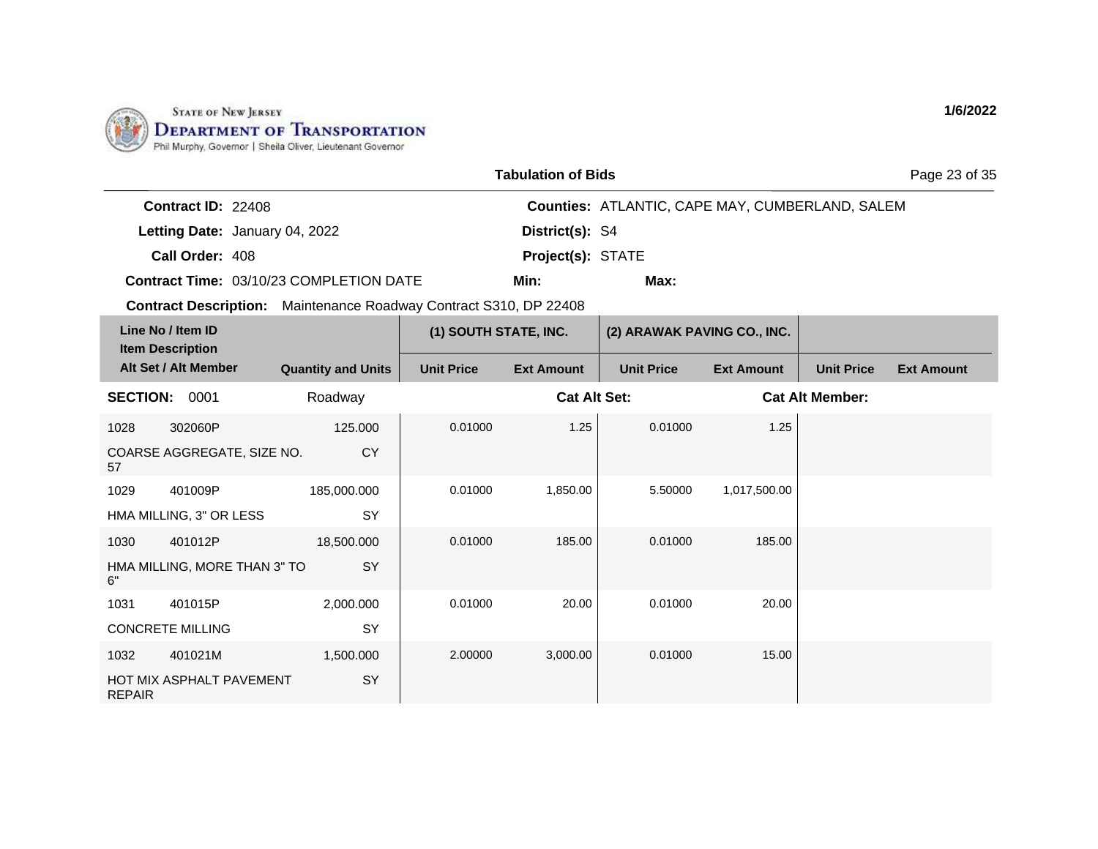

| <b>Tabulation of Bids</b> |  |
|---------------------------|--|
|---------------------------|--|

Page 23 of 35

| <b>Contract ID: 22408</b> |                                                |                          | <b>Counties: ATLANTIC, CAPE MAY, CUMBERLAND, SALEM</b> |
|---------------------------|------------------------------------------------|--------------------------|--------------------------------------------------------|
|                           | Letting Date: January 04, 2022                 | District(s): S4          |                                                        |
| Call Order: 408           |                                                | <b>Project(s): STATE</b> |                                                        |
|                           | <b>Contract Time: 03/10/23 COMPLETION DATE</b> | Min:                     | Max:                                                   |

**Contract Description:** Maintenance Roadway Contract S310, DP 22408

| Line No / Item ID<br><b>Item Description</b> |                              |                           | (1) SOUTH STATE, INC. |                     | (2) ARAWAK PAVING CO., INC. |                   |                        |                   |
|----------------------------------------------|------------------------------|---------------------------|-----------------------|---------------------|-----------------------------|-------------------|------------------------|-------------------|
|                                              | Alt Set / Alt Member         | <b>Quantity and Units</b> | <b>Unit Price</b>     | <b>Ext Amount</b>   | <b>Unit Price</b>           | <b>Ext Amount</b> | <b>Unit Price</b>      | <b>Ext Amount</b> |
| <b>SECTION:</b>                              | 0001                         | Roadway                   |                       | <b>Cat Alt Set:</b> |                             |                   | <b>Cat Alt Member:</b> |                   |
| 1028                                         | 302060P                      | 125,000                   | 0.01000               | 1.25                | 0.01000                     | 1.25              |                        |                   |
| 57                                           | COARSE AGGREGATE, SIZE NO.   | <b>CY</b>                 |                       |                     |                             |                   |                        |                   |
| 1029                                         | 401009P                      | 185,000.000               | 0.01000               | 1,850.00            | 5.50000                     | 1,017,500.00      |                        |                   |
|                                              | HMA MILLING, 3" OR LESS      | SY                        |                       |                     |                             |                   |                        |                   |
| 1030                                         | 401012P                      | 18,500.000                | 0.01000               | 185.00              | 0.01000                     | 185.00            |                        |                   |
| 6"                                           | HMA MILLING, MORE THAN 3" TO | SY                        |                       |                     |                             |                   |                        |                   |
| 1031                                         | 401015P                      | 2,000.000                 | 0.01000               | 20.00               | 0.01000                     | 20.00             |                        |                   |
|                                              | <b>CONCRETE MILLING</b>      | SY                        |                       |                     |                             |                   |                        |                   |
| 1032                                         | 401021M                      | 1,500.000                 | 2.00000               | 3,000.00            | 0.01000                     | 15.00             |                        |                   |
| <b>REPAIR</b>                                | HOT MIX ASPHALT PAVEMENT     | SY                        |                       |                     |                             |                   |                        |                   |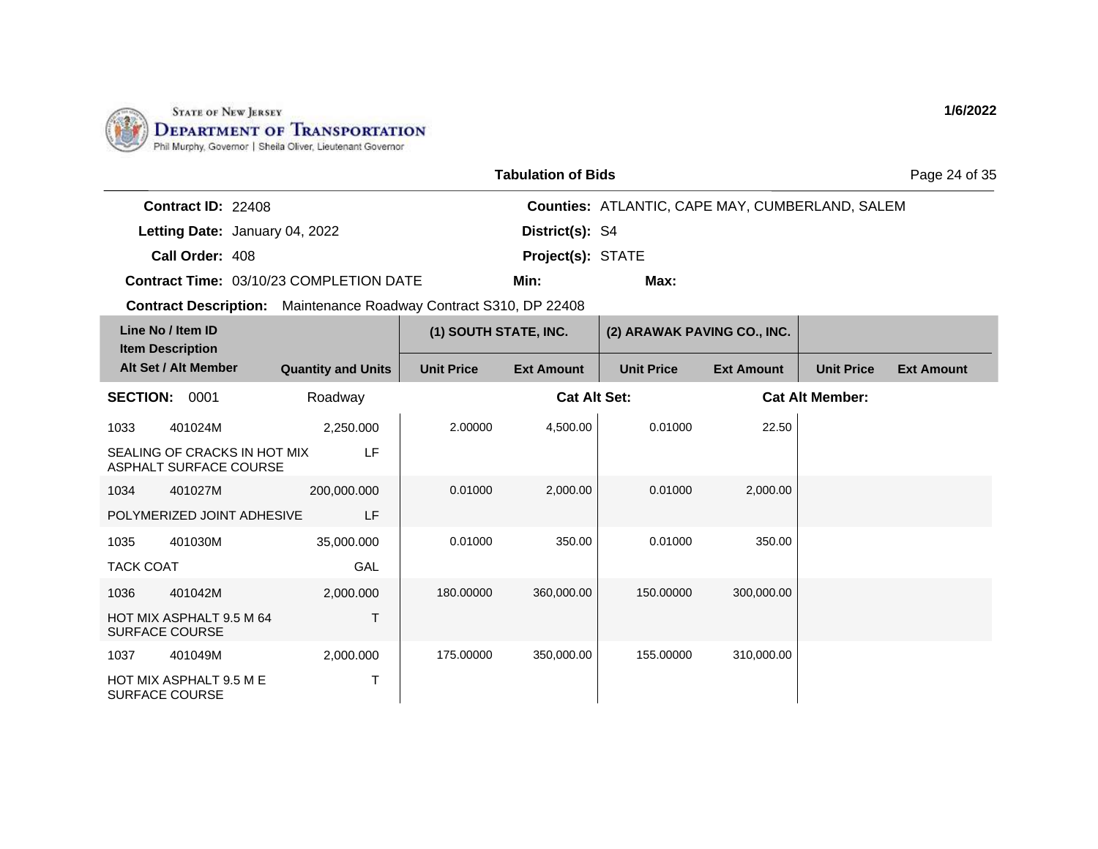

|  | <b>Tabulation of Bids</b> |  |  |
|--|---------------------------|--|--|
|--|---------------------------|--|--|

Page 24 of 35

| <b>Contract ID: 22408</b> |                                                |                          | <b>Counties: ATLANTIC, CAPE MAY, CUMBERLAND, SALEM</b> |
|---------------------------|------------------------------------------------|--------------------------|--------------------------------------------------------|
|                           | Letting Date: January 04, 2022                 | District(s): S4          |                                                        |
| Call Order: 408           |                                                | <b>Project(s): STATE</b> |                                                        |
|                           | <b>Contract Time: 03/10/23 COMPLETION DATE</b> | Min:                     | Max:                                                   |

| Line No / Item ID<br><b>Item Description</b> |                                                        |                           | (1) SOUTH STATE, INC. |                     | (2) ARAWAK PAVING CO., INC. |                   |                        |                   |
|----------------------------------------------|--------------------------------------------------------|---------------------------|-----------------------|---------------------|-----------------------------|-------------------|------------------------|-------------------|
|                                              | Alt Set / Alt Member                                   | <b>Quantity and Units</b> | <b>Unit Price</b>     | <b>Ext Amount</b>   | <b>Unit Price</b>           | <b>Ext Amount</b> | <b>Unit Price</b>      | <b>Ext Amount</b> |
| <b>SECTION:</b>                              | 0001                                                   | Roadway                   |                       | <b>Cat Alt Set:</b> |                             |                   | <b>Cat Alt Member:</b> |                   |
| 1033                                         | 401024M                                                | 2,250.000                 | 2.00000               | 4,500.00            | 0.01000                     | 22.50             |                        |                   |
|                                              | SEALING OF CRACKS IN HOT MIX<br>ASPHALT SURFACE COURSE | LF                        |                       |                     |                             |                   |                        |                   |
| 1034                                         | 401027M                                                | 200,000.000               | 0.01000               | 2,000.00            | 0.01000                     | 2,000.00          |                        |                   |
|                                              | POLYMERIZED JOINT ADHESIVE                             | LF                        |                       |                     |                             |                   |                        |                   |
| 1035                                         | 401030M                                                | 35,000.000                | 0.01000               | 350.00              | 0.01000                     | 350.00            |                        |                   |
| <b>TACK COAT</b>                             |                                                        | GAL                       |                       |                     |                             |                   |                        |                   |
| 1036                                         | 401042M                                                | 2,000.000                 | 180.00000             | 360,000.00          | 150.00000                   | 300,000.00        |                        |                   |
|                                              | HOT MIX ASPHALT 9.5 M 64<br><b>SURFACE COURSE</b>      | т                         |                       |                     |                             |                   |                        |                   |
| 1037                                         | 401049M                                                | 2,000.000                 | 175.00000             | 350,000.00          | 155.00000                   | 310,000.00        |                        |                   |
|                                              | HOT MIX ASPHALT 9.5 M E<br>SURFACE COURSE              | т                         |                       |                     |                             |                   |                        |                   |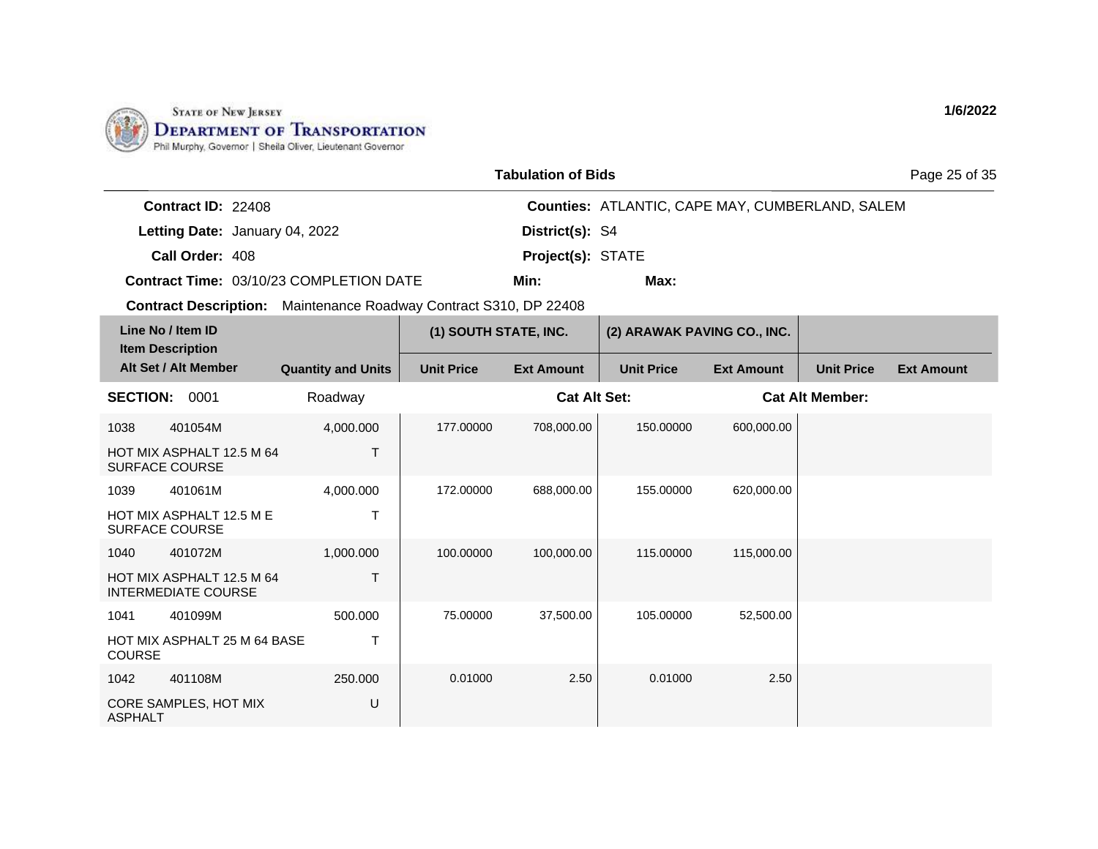

| <b>Tabulation of Bids</b> |  |
|---------------------------|--|
|---------------------------|--|

Page 25 of 35

| <b>Contract ID: 22408</b> |                                                |                          | <b>Counties: ATLANTIC, CAPE MAY, CUMBERLAND, SALEM</b> |
|---------------------------|------------------------------------------------|--------------------------|--------------------------------------------------------|
|                           | Letting Date: January 04, 2022                 | <b>District(s): S4</b>   |                                                        |
| Call Order: 408           |                                                | <b>Project(s): STATE</b> |                                                        |
|                           | <b>Contract Time: 03/10/23 COMPLETION DATE</b> | Min:                     | Max:                                                   |

| Line No / Item ID<br><b>Item Description</b> |                                                         |                           | (1) SOUTH STATE, INC. |                     | (2) ARAWAK PAVING CO., INC. |                   |                        |                   |
|----------------------------------------------|---------------------------------------------------------|---------------------------|-----------------------|---------------------|-----------------------------|-------------------|------------------------|-------------------|
|                                              | Alt Set / Alt Member                                    | <b>Quantity and Units</b> | <b>Unit Price</b>     | <b>Ext Amount</b>   | <b>Unit Price</b>           | <b>Ext Amount</b> | <b>Unit Price</b>      | <b>Ext Amount</b> |
| <b>SECTION:</b>                              | 0001                                                    | Roadway                   |                       | <b>Cat Alt Set:</b> |                             |                   | <b>Cat Alt Member:</b> |                   |
| 1038                                         | 401054M                                                 | 4,000.000                 | 177,00000             | 708,000.00          | 150.00000                   | 600,000.00        |                        |                   |
| <b>SURFACE COURSE</b>                        | HOT MIX ASPHALT 12.5 M 64                               | Т                         |                       |                     |                             |                   |                        |                   |
| 1039                                         | 401061M                                                 | 4,000.000                 | 172.00000             | 688,000.00          | 155.00000                   | 620,000.00        |                        |                   |
| <b>SURFACE COURSE</b>                        | HOT MIX ASPHALT 12.5 M E                                | т                         |                       |                     |                             |                   |                        |                   |
| 1040                                         | 401072M                                                 | 1,000.000                 | 100.00000             | 100,000.00          | 115.00000                   | 115,000.00        |                        |                   |
|                                              | HOT MIX ASPHALT 12.5 M 64<br><b>INTERMEDIATE COURSE</b> | T                         |                       |                     |                             |                   |                        |                   |
| 1041                                         | 401099M                                                 | 500.000                   | 75.00000              | 37,500.00           | 105.00000                   | 52,500.00         |                        |                   |
| <b>COURSE</b>                                | <b>HOT MIX ASPHALT 25 M 64 BASE</b>                     | T                         |                       |                     |                             |                   |                        |                   |
| 1042                                         | 401108M                                                 | 250.000                   | 0.01000               | 2.50                | 0.01000                     | 2.50              |                        |                   |
| <b>ASPHALT</b>                               | CORE SAMPLES, HOT MIX                                   | U                         |                       |                     |                             |                   |                        |                   |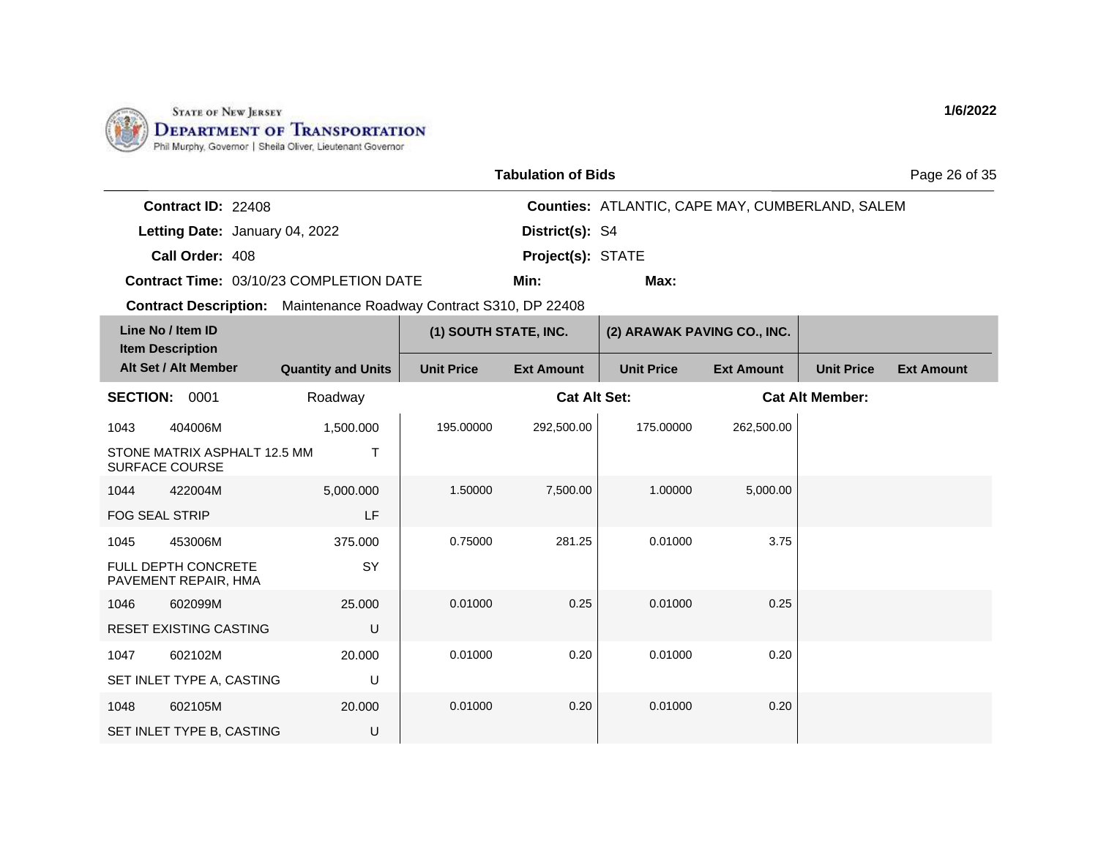

| <b>Tabulation of Bids</b> |  |
|---------------------------|--|
|---------------------------|--|

Page 26 of 35

| <b>Contract ID: 22408</b> |                                                |                          | <b>Counties: ATLANTIC, CAPE MAY, CUMBERLAND, SALEM</b> |
|---------------------------|------------------------------------------------|--------------------------|--------------------------------------------------------|
|                           | Letting Date: January 04, 2022                 | <b>District(s): S4</b>   |                                                        |
| Call Order: 408           |                                                | <b>Project(s): STATE</b> |                                                        |
|                           | <b>Contract Time: 03/10/23 COMPLETION DATE</b> | Min:                     | Max:                                                   |

| Line No / Item ID<br><b>Item Description</b> |                                                       |                           | (1) SOUTH STATE, INC. |                     | (2) ARAWAK PAVING CO., INC. |                   |                        |                   |
|----------------------------------------------|-------------------------------------------------------|---------------------------|-----------------------|---------------------|-----------------------------|-------------------|------------------------|-------------------|
|                                              | Alt Set / Alt Member                                  | <b>Quantity and Units</b> | <b>Unit Price</b>     | <b>Ext Amount</b>   | <b>Unit Price</b>           | <b>Ext Amount</b> | <b>Unit Price</b>      | <b>Ext Amount</b> |
| <b>SECTION:</b>                              | 0001                                                  | Roadway                   |                       | <b>Cat Alt Set:</b> |                             |                   | <b>Cat Alt Member:</b> |                   |
| 1043                                         | 404006M                                               | 1,500.000                 | 195.00000             | 292,500.00          | 175,00000                   | 262,500.00        |                        |                   |
|                                              | STONE MATRIX ASPHALT 12.5 MM<br><b>SURFACE COURSE</b> | т                         |                       |                     |                             |                   |                        |                   |
| 1044                                         | 422004M                                               | 5,000.000                 | 1.50000               | 7,500.00            | 1.00000                     | 5,000.00          |                        |                   |
| <b>FOG SEAL STRIP</b>                        |                                                       | LF                        |                       |                     |                             |                   |                        |                   |
| 1045                                         | 453006M                                               | 375.000                   | 0.75000               | 281.25              | 0.01000                     | 3.75              |                        |                   |
|                                              | FULL DEPTH CONCRETE<br>PAVEMENT REPAIR, HMA           | SY                        |                       |                     |                             |                   |                        |                   |
| 1046                                         | 602099M                                               | 25.000                    | 0.01000               | 0.25                | 0.01000                     | 0.25              |                        |                   |
|                                              | <b>RESET EXISTING CASTING</b>                         | U                         |                       |                     |                             |                   |                        |                   |
| 1047                                         | 602102M                                               | 20.000                    | 0.01000               | 0.20                | 0.01000                     | 0.20              |                        |                   |
|                                              | SET INLET TYPE A, CASTING                             | U                         |                       |                     |                             |                   |                        |                   |
| 1048                                         | 602105M                                               | 20,000                    | 0.01000               | 0.20                | 0.01000                     | 0.20              |                        |                   |
|                                              | SET INLET TYPE B, CASTING                             | U                         |                       |                     |                             |                   |                        |                   |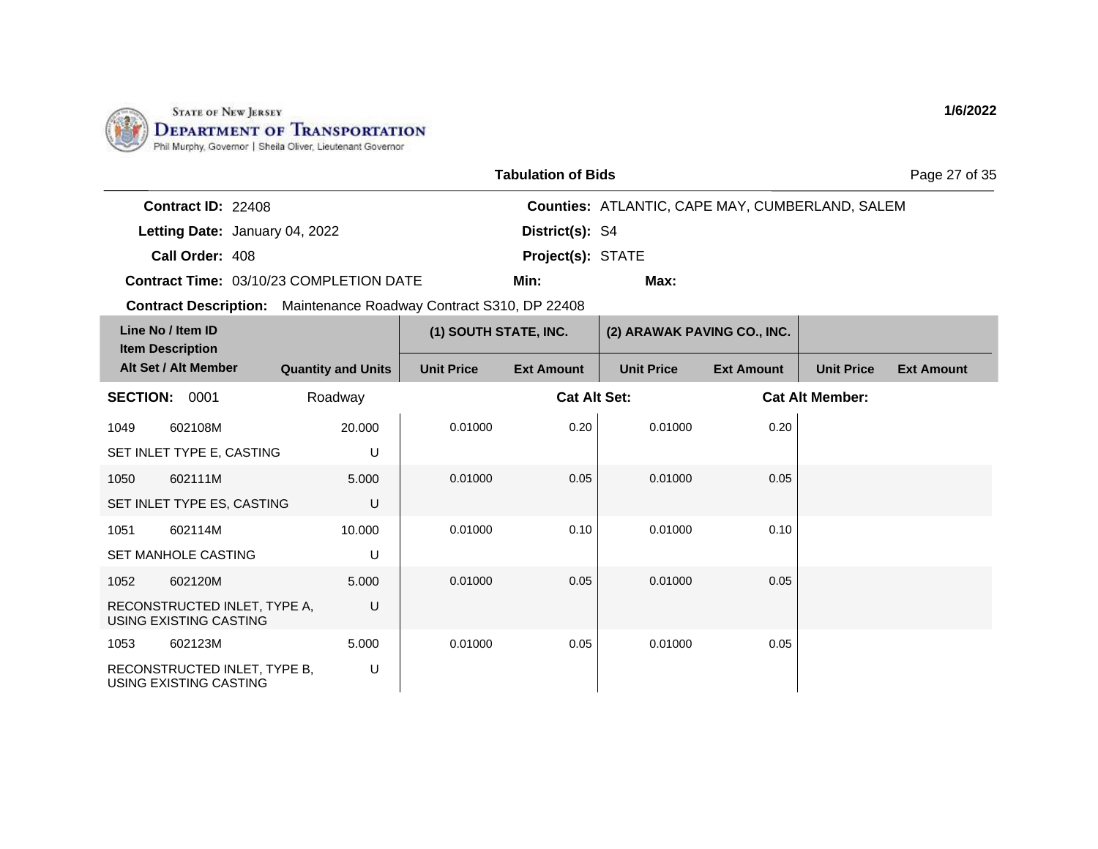

| <b>Tabulation of Bids</b> |  |
|---------------------------|--|
|---------------------------|--|

Page 27 of 35

| <b>Contract ID: 22408</b> |                                         |                          | <b>Counties: ATLANTIC, CAPE MAY, CUMBERLAND, SALEM</b> |
|---------------------------|-----------------------------------------|--------------------------|--------------------------------------------------------|
|                           | Letting Date: January 04, 2022          | District(s): S4          |                                                        |
| Call Order: 408           |                                         | <b>Project(s): STATE</b> |                                                        |
|                           | Contract Time: 03/10/23 COMPLETION DATE | Min:                     | Max:                                                   |

**Contract Description:** Maintenance Roadway Contract S310, DP 22408

|                 | Line No / Item ID<br><b>Item Description</b>           |                           | (1) SOUTH STATE, INC. |                     | (2) ARAWAK PAVING CO., INC. |                   |                        |                   |
|-----------------|--------------------------------------------------------|---------------------------|-----------------------|---------------------|-----------------------------|-------------------|------------------------|-------------------|
|                 | Alt Set / Alt Member                                   | <b>Quantity and Units</b> | <b>Unit Price</b>     | <b>Ext Amount</b>   | <b>Unit Price</b>           | <b>Ext Amount</b> | <b>Unit Price</b>      | <b>Ext Amount</b> |
| <b>SECTION:</b> | 0001                                                   | Roadway                   |                       | <b>Cat Alt Set:</b> |                             |                   | <b>Cat Alt Member:</b> |                   |
| 1049            | 602108M                                                | 20.000                    | 0.01000               | 0.20                | 0.01000                     | 0.20              |                        |                   |
|                 | SET INLET TYPE E, CASTING                              | U                         |                       |                     |                             |                   |                        |                   |
| 1050            | 602111M                                                | 5.000                     | 0.01000               | 0.05                | 0.01000                     | 0.05              |                        |                   |
|                 | SET INLET TYPE ES, CASTING                             | U                         |                       |                     |                             |                   |                        |                   |
| 1051            | 602114M                                                | 10.000                    | 0.01000               | 0.10                | 0.01000                     | 0.10              |                        |                   |
|                 | <b>SET MANHOLE CASTING</b>                             | U                         |                       |                     |                             |                   |                        |                   |
| 1052            | 602120M                                                | 5.000                     | 0.01000               | 0.05                | 0.01000                     | 0.05              |                        |                   |
|                 | RECONSTRUCTED INLET, TYPE A,<br>USING EXISTING CASTING | U                         |                       |                     |                             |                   |                        |                   |
| 1053            | 602123M                                                | 5.000                     | 0.01000               | 0.05                | 0.01000                     | 0.05              |                        |                   |
|                 | RECONSTRUCTED INLET, TYPE B,<br>USING EXISTING CASTING | U                         |                       |                     |                             |                   |                        |                   |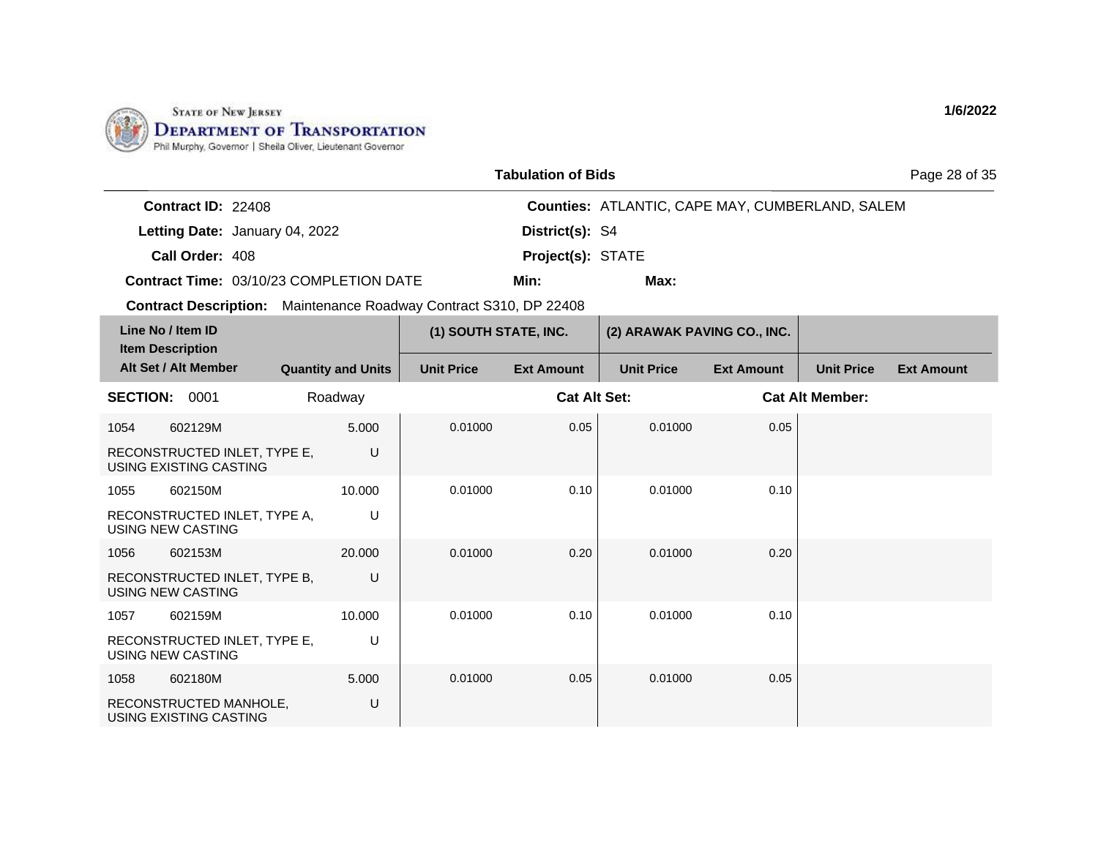

| <b>Tabulation of Bids</b> |  |
|---------------------------|--|
|---------------------------|--|

Page 28 of 35

| <b>Contract ID: 22408</b> |                                                |                          | <b>Counties: ATLANTIC, CAPE MAY, CUMBERLAND, SALEM</b> |
|---------------------------|------------------------------------------------|--------------------------|--------------------------------------------------------|
|                           | Letting Date: January 04, 2022                 | District(s): S4          |                                                        |
| Call Order: 408           |                                                | <b>Project(s): STATE</b> |                                                        |
|                           | <b>Contract Time: 03/10/23 COMPLETION DATE</b> | Min:                     | Max:                                                   |

| Line No / Item ID<br><b>Item Description</b> |                                                        |                           | (1) SOUTH STATE, INC. |                     | (2) ARAWAK PAVING CO., INC. |                   |                        |                   |
|----------------------------------------------|--------------------------------------------------------|---------------------------|-----------------------|---------------------|-----------------------------|-------------------|------------------------|-------------------|
|                                              | Alt Set / Alt Member                                   | <b>Quantity and Units</b> | <b>Unit Price</b>     | <b>Ext Amount</b>   | <b>Unit Price</b>           | <b>Ext Amount</b> | <b>Unit Price</b>      | <b>Ext Amount</b> |
| <b>SECTION:</b>                              | 0001                                                   | Roadway                   |                       | <b>Cat Alt Set:</b> |                             |                   | <b>Cat Alt Member:</b> |                   |
| 1054                                         | 602129M                                                | 5.000                     | 0.01000               | 0.05                | 0.01000                     | 0.05              |                        |                   |
|                                              | RECONSTRUCTED INLET, TYPE E,<br>USING EXISTING CASTING | U                         |                       |                     |                             |                   |                        |                   |
| 1055                                         | 602150M                                                | 10.000                    | 0.01000               | 0.10                | 0.01000                     | 0.10              |                        |                   |
| USING NEW CASTING                            | RECONSTRUCTED INLET, TYPE A,                           | U                         |                       |                     |                             |                   |                        |                   |
| 1056                                         | 602153M                                                | 20,000                    | 0.01000               | 0.20                | 0.01000                     | 0.20              |                        |                   |
| USING NEW CASTING                            | RECONSTRUCTED INLET, TYPE B,                           | U                         |                       |                     |                             |                   |                        |                   |
| 1057                                         | 602159M                                                | 10.000                    | 0.01000               | 0.10                | 0.01000                     | 0.10              |                        |                   |
| <b>USING NEW CASTING</b>                     | RECONSTRUCTED INLET, TYPE E,                           | U                         |                       |                     |                             |                   |                        |                   |
| 1058                                         | 602180M                                                | 5.000                     | 0.01000               | 0.05                | 0.01000                     | 0.05              |                        |                   |
|                                              | RECONSTRUCTED MANHOLE,<br>USING EXISTING CASTING       | U                         |                       |                     |                             |                   |                        |                   |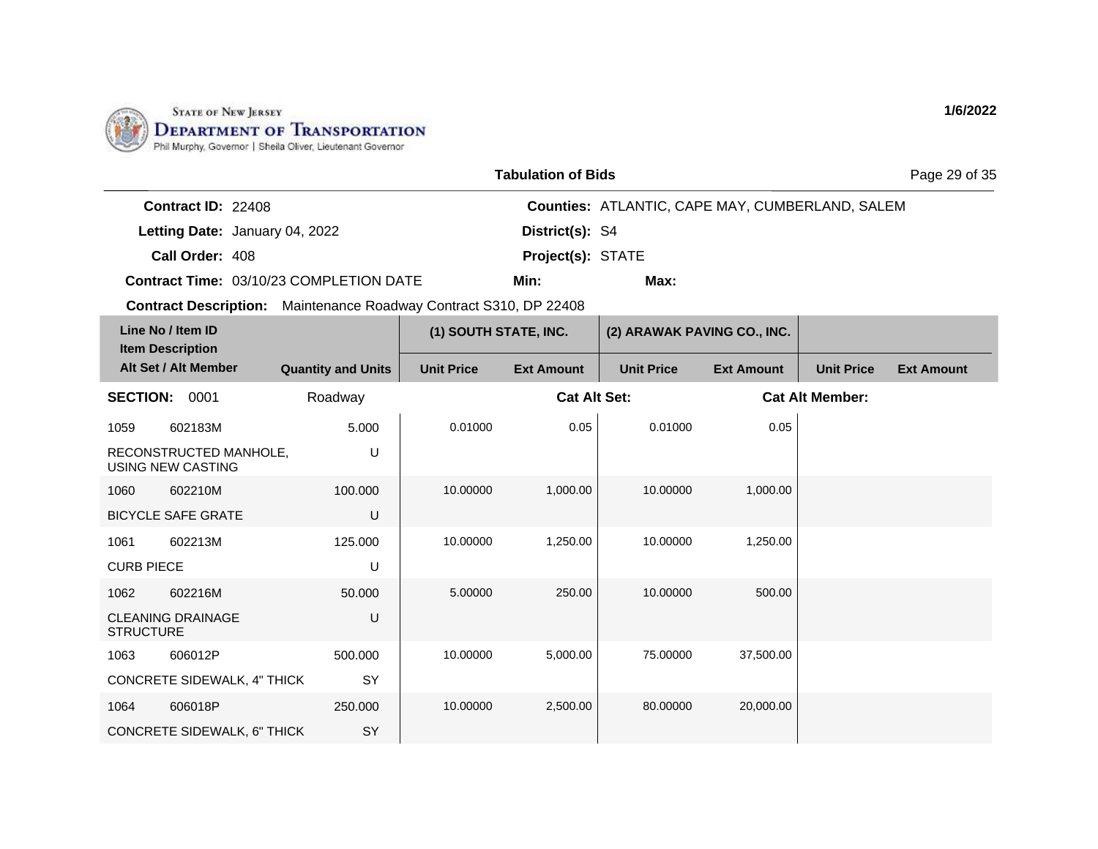

|  | <b>Tabulation of Bids</b> |  |  |
|--|---------------------------|--|--|
|--|---------------------------|--|--|

Page 29 of 35

| <b>Contract ID: 22408</b> |                                                |                          | <b>Counties: ATLANTIC, CAPE MAY, CUMBERLAND, SALEM</b> |
|---------------------------|------------------------------------------------|--------------------------|--------------------------------------------------------|
|                           | Letting Date: January 04, 2022                 | <b>District(s): S4</b>   |                                                        |
| Call Order: 408           |                                                | <b>Project(s): STATE</b> |                                                        |
|                           | <b>Contract Time: 03/10/23 COMPLETION DATE</b> | Min:                     | Max:                                                   |

|                   | Line No / Item ID<br><b>Item Description</b> |                           | (1) SOUTH STATE, INC. |                     | (2) ARAWAK PAVING CO., INC. |                   |                        |                   |
|-------------------|----------------------------------------------|---------------------------|-----------------------|---------------------|-----------------------------|-------------------|------------------------|-------------------|
|                   | Alt Set / Alt Member                         | <b>Quantity and Units</b> | <b>Unit Price</b>     | <b>Ext Amount</b>   | <b>Unit Price</b>           | <b>Ext Amount</b> | <b>Unit Price</b>      | <b>Ext Amount</b> |
| <b>SECTION:</b>   | 0001                                         | Roadway                   |                       | <b>Cat Alt Set:</b> |                             |                   | <b>Cat Alt Member:</b> |                   |
| 1059              | 602183M                                      | 5.000                     | 0.01000               | 0.05                | 0.01000                     | 0.05              |                        |                   |
|                   | RECONSTRUCTED MANHOLE,<br>USING NEW CASTING  | U                         |                       |                     |                             |                   |                        |                   |
| 1060              | 602210M                                      | 100.000                   | 10.00000              | 1,000.00            | 10.00000                    | 1,000.00          |                        |                   |
|                   | <b>BICYCLE SAFE GRATE</b>                    | U                         |                       |                     |                             |                   |                        |                   |
| 1061              | 602213M                                      | 125.000                   | 10.00000              | 1,250.00            | 10.00000                    | 1,250.00          |                        |                   |
| <b>CURB PIECE</b> |                                              | U                         |                       |                     |                             |                   |                        |                   |
| 1062              | 602216M                                      | 50.000                    | 5.00000               | 250.00              | 10.00000                    | 500.00            |                        |                   |
| <b>STRUCTURE</b>  | <b>CLEANING DRAINAGE</b>                     | U                         |                       |                     |                             |                   |                        |                   |
| 1063              | 606012P                                      | 500.000                   | 10.00000              | 5,000.00            | 75.00000                    | 37,500.00         |                        |                   |
|                   | <b>CONCRETE SIDEWALK, 4" THICK</b>           | SY                        |                       |                     |                             |                   |                        |                   |
| 1064              | 606018P                                      | 250.000                   | 10.00000              | 2,500.00            | 80.00000                    | 20,000.00         |                        |                   |
|                   | CONCRETE SIDEWALK, 6" THICK                  | SY                        |                       |                     |                             |                   |                        |                   |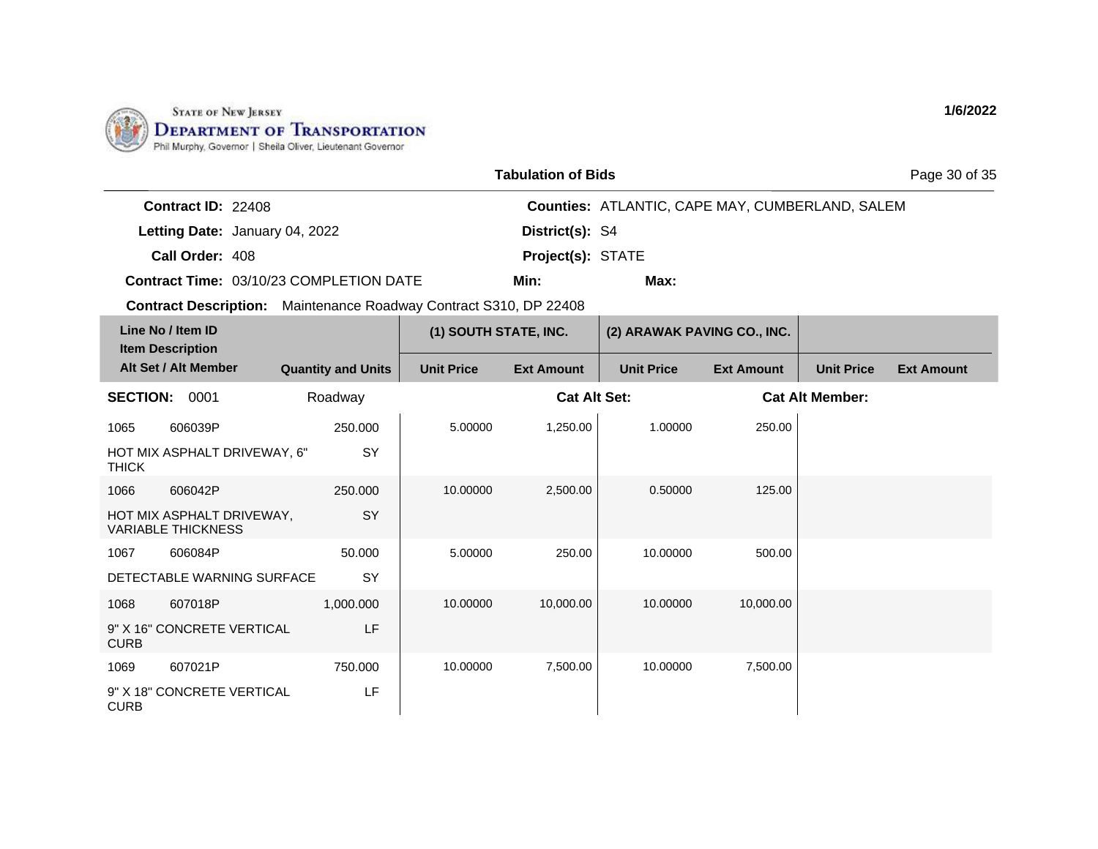

| <b>Tabulation of Bids</b> |  |
|---------------------------|--|
|---------------------------|--|

Page 30 of 35

| <b>Contract ID: 22408</b> |                                                |                          | <b>Counties: ATLANTIC, CAPE MAY, CUMBERLAND, SALEM</b> |
|---------------------------|------------------------------------------------|--------------------------|--------------------------------------------------------|
|                           | Letting Date: January 04, 2022                 | District(s): S4          |                                                        |
| Call Order: 408           |                                                | <b>Project(s): STATE</b> |                                                        |
|                           | <b>Contract Time: 03/10/23 COMPLETION DATE</b> | Min:                     | Max:                                                   |

| Line No / Item ID<br><b>Item Description</b>           |                           | (1) SOUTH STATE, INC. |                     | (2) ARAWAK PAVING CO., INC. |                   |                        |                   |
|--------------------------------------------------------|---------------------------|-----------------------|---------------------|-----------------------------|-------------------|------------------------|-------------------|
| Alt Set / Alt Member                                   | <b>Quantity and Units</b> | <b>Unit Price</b>     | <b>Ext Amount</b>   | <b>Unit Price</b>           | <b>Ext Amount</b> | <b>Unit Price</b>      | <b>Ext Amount</b> |
| <b>SECTION:</b><br>0001                                | Roadway                   |                       | <b>Cat Alt Set:</b> |                             |                   | <b>Cat Alt Member:</b> |                   |
| 1065<br>606039P                                        | 250.000                   | 5.00000               | 1,250.00            | 1.00000                     | 250.00            |                        |                   |
| HOT MIX ASPHALT DRIVEWAY, 6"<br><b>THICK</b>           | SY                        |                       |                     |                             |                   |                        |                   |
| 1066<br>606042P                                        | 250.000                   | 10.00000              | 2,500.00            | 0.50000                     | 125.00            |                        |                   |
| HOT MIX ASPHALT DRIVEWAY,<br><b>VARIABLE THICKNESS</b> | SY                        |                       |                     |                             |                   |                        |                   |
| 1067<br>606084P                                        | 50,000                    | 5.00000               | 250.00              | 10.00000                    | 500.00            |                        |                   |
| DETECTABLE WARNING SURFACE                             | SY                        |                       |                     |                             |                   |                        |                   |
| 1068<br>607018P                                        | 1,000.000                 | 10.00000              | 10,000.00           | 10.00000                    | 10,000.00         |                        |                   |
| 9" X 16" CONCRETE VERTICAL<br><b>CURB</b>              | LF                        |                       |                     |                             |                   |                        |                   |
| 1069<br>607021P                                        | 750.000                   | 10.00000              | 7,500.00            | 10.00000                    | 7,500.00          |                        |                   |
| 9" X 18" CONCRETE VERTICAL<br><b>CURB</b>              | LF                        |                       |                     |                             |                   |                        |                   |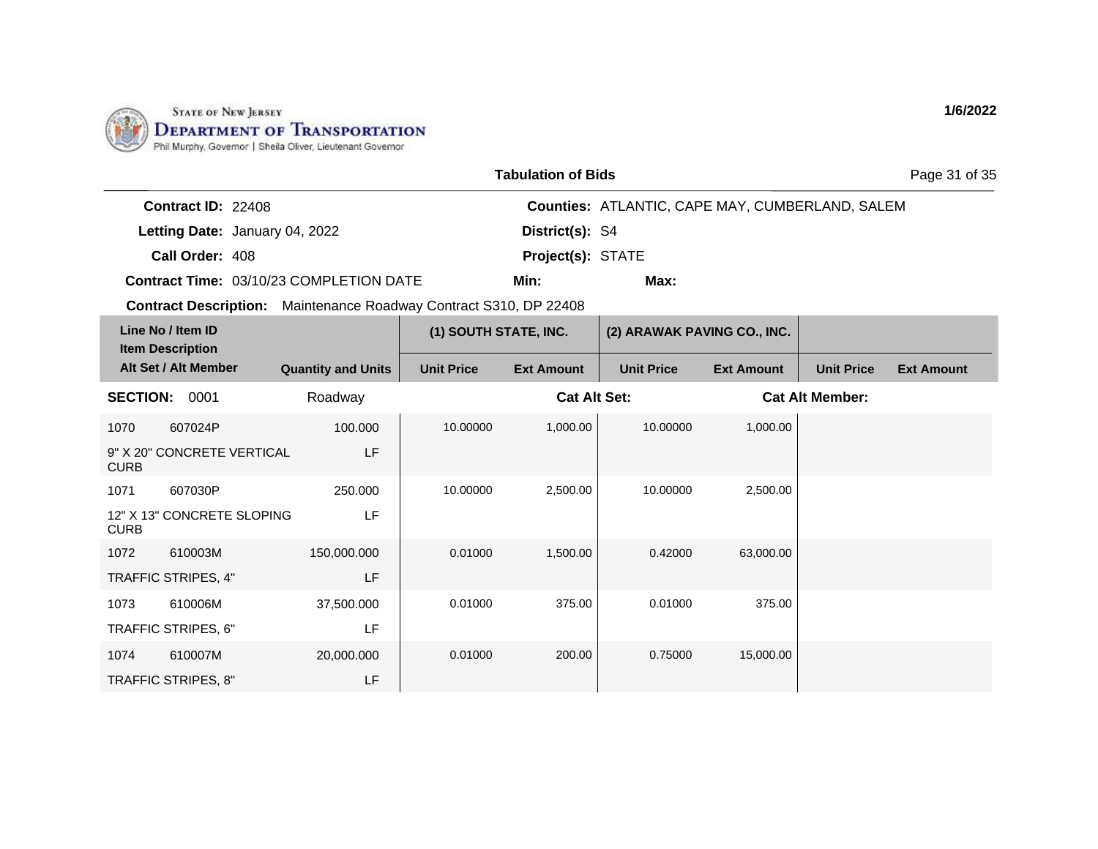

|                           |                                                | <b>Tabulation of Bids</b> |                                                        | Page 31 of 35 |
|---------------------------|------------------------------------------------|---------------------------|--------------------------------------------------------|---------------|
| <b>Contract ID: 22408</b> |                                                |                           | <b>Counties: ATLANTIC, CAPE MAY, CUMBERLAND, SALEM</b> |               |
|                           | Letting Date: January 04, 2022                 | District(s): S4           |                                                        |               |
| Call Order: 408           |                                                | <b>Project(s): STATE</b>  |                                                        |               |
|                           | <b>Contract Time: 03/10/23 COMPLETION DATE</b> | Min:                      | Max:                                                   |               |

**Contract Description:** Maintenance Roadway Contract S310, DP 22408

| Line No / Item ID<br><b>Item Description</b> |                            |                           | (1) SOUTH STATE, INC. |                     | (2) ARAWAK PAVING CO., INC. |                   |                        |                   |
|----------------------------------------------|----------------------------|---------------------------|-----------------------|---------------------|-----------------------------|-------------------|------------------------|-------------------|
|                                              | Alt Set / Alt Member       | <b>Quantity and Units</b> | <b>Unit Price</b>     | <b>Ext Amount</b>   | <b>Unit Price</b>           | <b>Ext Amount</b> | <b>Unit Price</b>      | <b>Ext Amount</b> |
| <b>SECTION:</b>                              | 0001                       | Roadway                   |                       | <b>Cat Alt Set:</b> |                             |                   | <b>Cat Alt Member:</b> |                   |
| 1070                                         | 607024P                    | 100.000                   | 10.00000              | 1,000.00            | 10.00000                    | 1,000.00          |                        |                   |
| <b>CURB</b>                                  | 9" X 20" CONCRETE VERTICAL | LF                        |                       |                     |                             |                   |                        |                   |
| 1071                                         | 607030P                    | 250.000                   | 10.00000              | 2,500.00            | 10.00000                    | 2,500.00          |                        |                   |
| <b>CURB</b>                                  | 12" X 13" CONCRETE SLOPING | LF                        |                       |                     |                             |                   |                        |                   |
| 1072                                         | 610003M                    | 150,000.000               | 0.01000               | 1,500.00            | 0.42000                     | 63,000.00         |                        |                   |
|                                              | TRAFFIC STRIPES, 4"        | LF                        |                       |                     |                             |                   |                        |                   |
| 1073                                         | 610006M                    | 37,500.000                | 0.01000               | 375.00              | 0.01000                     | 375.00            |                        |                   |
|                                              | TRAFFIC STRIPES, 6"        | LF                        |                       |                     |                             |                   |                        |                   |
| 1074                                         | 610007M                    | 20,000.000                | 0.01000               | 200.00              | 0.75000                     | 15,000.00         |                        |                   |
|                                              | TRAFFIC STRIPES, 8"        | LF                        |                       |                     |                             |                   |                        |                   |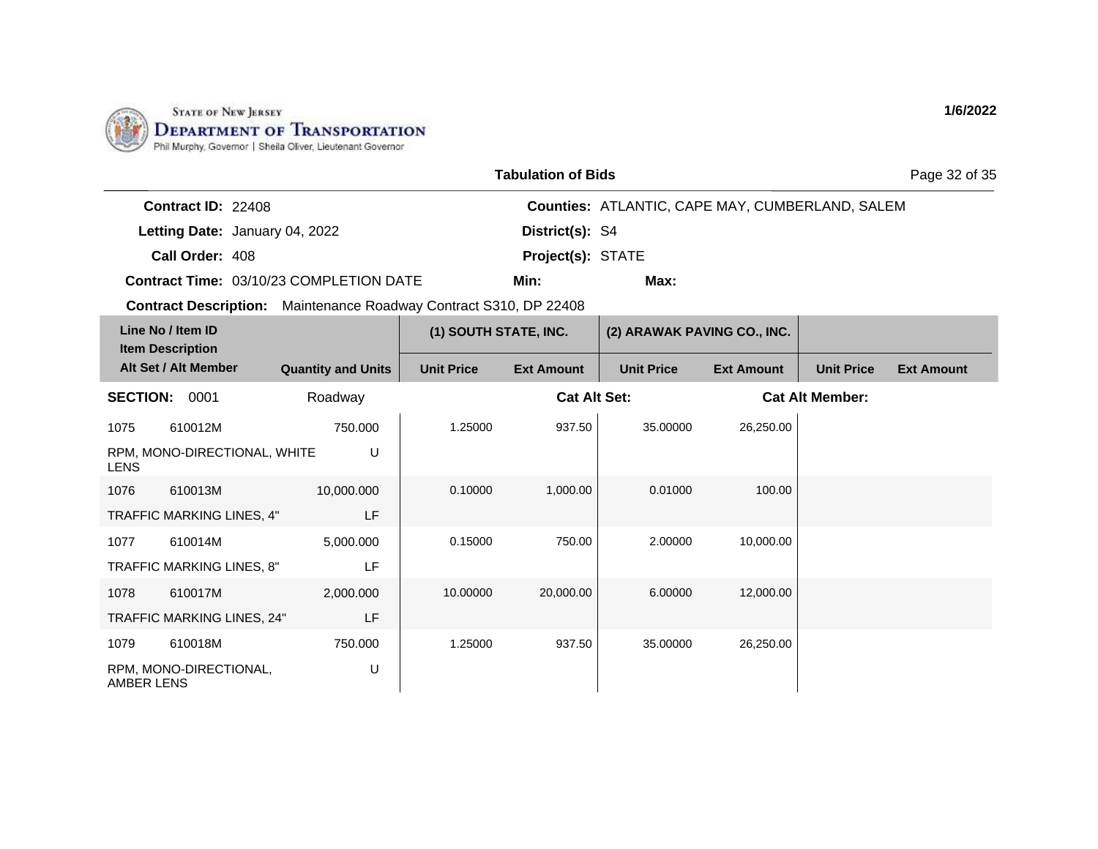

| <b>Tabulation of Bids</b> |  |
|---------------------------|--|
|---------------------------|--|

Page 32 of 35

**1/6/2022**

| <b>Contract ID: 22408</b> |                                                |                          | <b>Counties: ATLANTIC, CAPE MAY, CUMBERLAND, SALEM</b> |
|---------------------------|------------------------------------------------|--------------------------|--------------------------------------------------------|
|                           | Letting Date: January 04, 2022                 | District(s): S4          |                                                        |
| Call Order: 408           |                                                | <b>Project(s): STATE</b> |                                                        |
|                           | <b>Contract Time: 03/10/23 COMPLETION DATE</b> | Min:                     | Max:                                                   |

| Line No / Item ID<br><b>Item Description</b> |                              |                           | (1) SOUTH STATE, INC. |                     | (2) ARAWAK PAVING CO., INC. |                   |                        |                   |
|----------------------------------------------|------------------------------|---------------------------|-----------------------|---------------------|-----------------------------|-------------------|------------------------|-------------------|
|                                              | Alt Set / Alt Member         | <b>Quantity and Units</b> | <b>Unit Price</b>     | <b>Ext Amount</b>   | <b>Unit Price</b>           | <b>Ext Amount</b> | <b>Unit Price</b>      | <b>Ext Amount</b> |
| <b>SECTION:</b>                              | 0001                         | Roadway                   |                       | <b>Cat Alt Set:</b> |                             |                   | <b>Cat Alt Member:</b> |                   |
| 1075                                         | 610012M                      | 750.000                   | 1.25000               | 937.50              | 35,00000                    | 26,250.00         |                        |                   |
| <b>LENS</b>                                  | RPM, MONO-DIRECTIONAL, WHITE | U                         |                       |                     |                             |                   |                        |                   |
| 1076                                         | 610013M                      | 10,000.000                | 0.10000               | 1,000.00            | 0.01000                     | 100.00            |                        |                   |
|                                              | TRAFFIC MARKING LINES, 4"    | LF                        |                       |                     |                             |                   |                        |                   |
| 1077                                         | 610014M                      | 5,000.000                 | 0.15000               | 750.00              | 2.00000                     | 10,000.00         |                        |                   |
|                                              | TRAFFIC MARKING LINES, 8"    | LF                        |                       |                     |                             |                   |                        |                   |
| 1078                                         | 610017M                      | 2,000.000                 | 10.00000              | 20,000.00           | 6.00000                     | 12,000.00         |                        |                   |
|                                              | TRAFFIC MARKING LINES, 24"   | LF                        |                       |                     |                             |                   |                        |                   |
| 1079                                         | 610018M                      | 750.000                   | 1.25000               | 937.50              | 35.00000                    | 26,250.00         |                        |                   |
| <b>AMBER LENS</b>                            | RPM, MONO-DIRECTIONAL,       | U                         |                       |                     |                             |                   |                        |                   |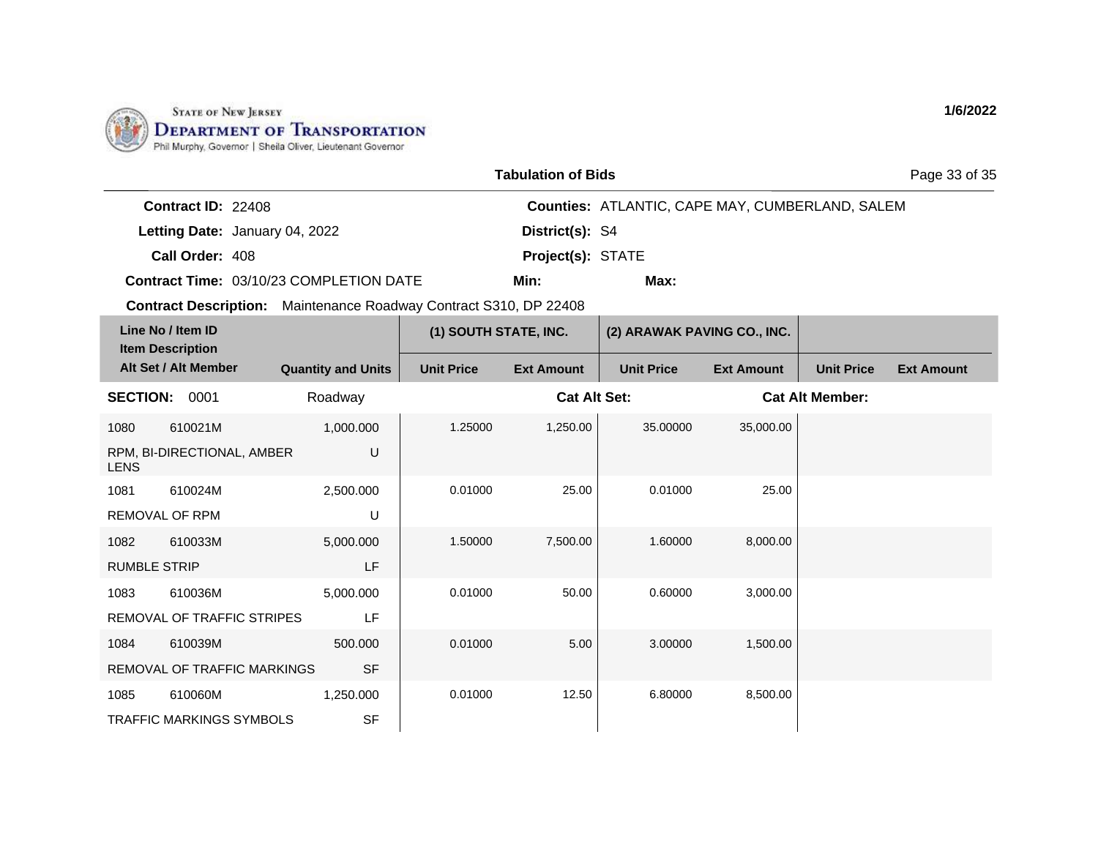

| <b>Tabulation of Bids</b> |  |
|---------------------------|--|
|---------------------------|--|

Page 33 of 35

| <b>Contract ID: 22408</b> |                                                |                          | <b>Counties: ATLANTIC, CAPE MAY, CUMBERLAND, SALEM</b> |
|---------------------------|------------------------------------------------|--------------------------|--------------------------------------------------------|
|                           | Letting Date: January 04, 2022                 | <b>District(s): S4</b>   |                                                        |
| Call Order: 408           |                                                | <b>Project(s): STATE</b> |                                                        |
|                           | <b>Contract Time: 03/10/23 COMPLETION DATE</b> | Min:                     | Max:                                                   |

| Line No / Item ID<br><b>Item Description</b> |                                 |                           | (1) SOUTH STATE, INC. |                     | (2) ARAWAK PAVING CO., INC. |                   |                        |                   |
|----------------------------------------------|---------------------------------|---------------------------|-----------------------|---------------------|-----------------------------|-------------------|------------------------|-------------------|
|                                              | Alt Set / Alt Member            | <b>Quantity and Units</b> | <b>Unit Price</b>     | <b>Ext Amount</b>   | <b>Unit Price</b>           | <b>Ext Amount</b> | <b>Unit Price</b>      | <b>Ext Amount</b> |
| <b>SECTION:</b>                              | 0001                            | Roadway                   |                       | <b>Cat Alt Set:</b> |                             |                   | <b>Cat Alt Member:</b> |                   |
| 1080                                         | 610021M                         | 1,000.000                 | 1.25000               | 1,250.00            | 35.00000                    | 35,000.00         |                        |                   |
| <b>LENS</b>                                  | RPM, BI-DIRECTIONAL, AMBER      | U                         |                       |                     |                             |                   |                        |                   |
| 1081                                         | 610024M                         | 2,500.000                 | 0.01000               | 25.00               | 0.01000                     | 25.00             |                        |                   |
|                                              | <b>REMOVAL OF RPM</b>           | U                         |                       |                     |                             |                   |                        |                   |
| 1082                                         | 610033M                         | 5,000.000                 | 1.50000               | 7,500.00            | 1.60000                     | 8,000.00          |                        |                   |
| <b>RUMBLE STRIP</b>                          |                                 | LF                        |                       |                     |                             |                   |                        |                   |
| 1083                                         | 610036M                         | 5,000.000                 | 0.01000               | 50.00               | 0.60000                     | 3,000.00          |                        |                   |
|                                              | REMOVAL OF TRAFFIC STRIPES      | LF                        |                       |                     |                             |                   |                        |                   |
| 1084                                         | 610039M                         | 500,000                   | 0.01000               | 5.00                | 3.00000                     | 1,500.00          |                        |                   |
|                                              | REMOVAL OF TRAFFIC MARKINGS     | <b>SF</b>                 |                       |                     |                             |                   |                        |                   |
| 1085                                         | 610060M                         | 1,250.000                 | 0.01000               | 12.50               | 6.80000                     | 8,500.00          |                        |                   |
|                                              | <b>TRAFFIC MARKINGS SYMBOLS</b> | <b>SF</b>                 |                       |                     |                             |                   |                        |                   |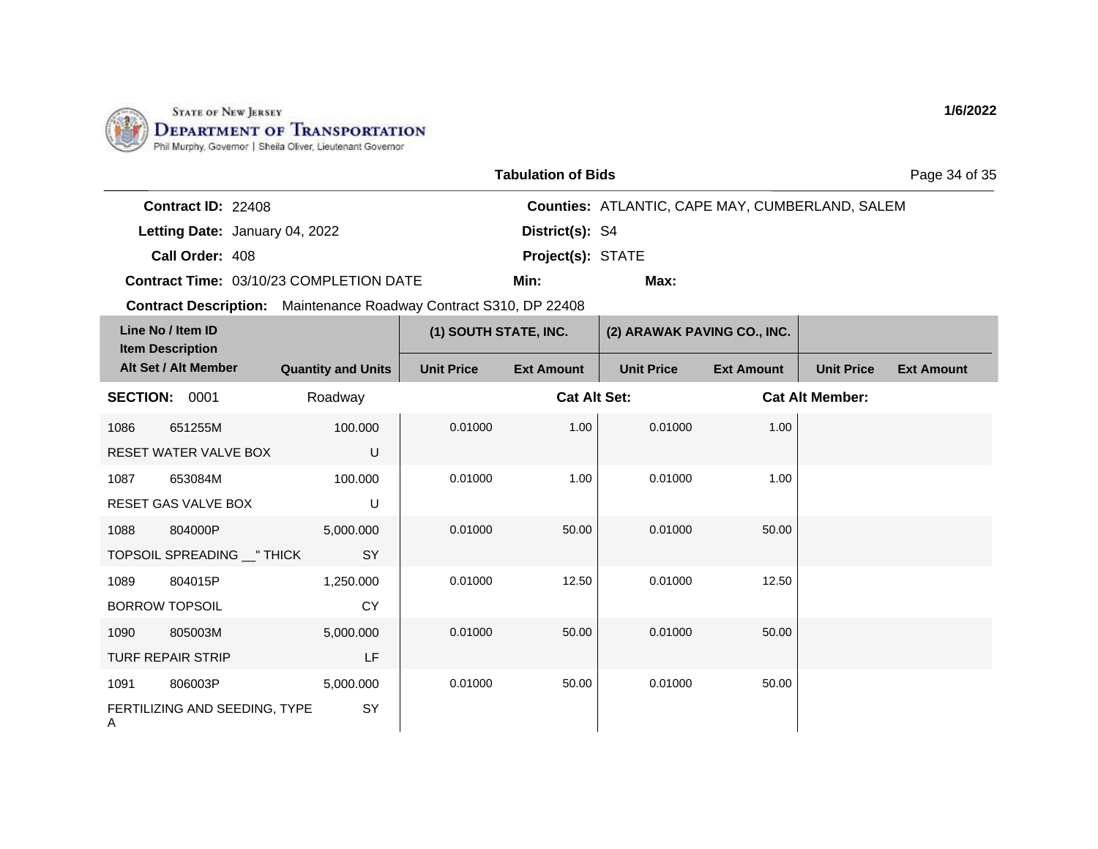

| <b>Tabulation of Bids</b> |  |
|---------------------------|--|
|---------------------------|--|

Page 34 of 35

| <b>Contract ID: 22408</b> |                                         |                          | <b>Counties: ATLANTIC, CAPE MAY, CUMBERLAND, SALEM</b> |
|---------------------------|-----------------------------------------|--------------------------|--------------------------------------------------------|
|                           | Letting Date: January 04, 2022          | District(s): S4          |                                                        |
| Call Order: 408           |                                         | <b>Project(s): STATE</b> |                                                        |
|                           | Contract Time: 03/10/23 COMPLETION DATE | Min:                     | Max:                                                   |

**Contract Description:** Maintenance Roadway Contract S310, DP 22408

|                 | Line No / Item ID<br><b>Item Description</b> |                           | (1) SOUTH STATE, INC. |                     | (2) ARAWAK PAVING CO., INC. |                   |                        |                   |
|-----------------|----------------------------------------------|---------------------------|-----------------------|---------------------|-----------------------------|-------------------|------------------------|-------------------|
|                 | Alt Set / Alt Member                         | <b>Quantity and Units</b> | <b>Unit Price</b>     | <b>Ext Amount</b>   | <b>Unit Price</b>           | <b>Ext Amount</b> | <b>Unit Price</b>      | <b>Ext Amount</b> |
| <b>SECTION:</b> | 0001                                         | Roadway                   |                       | <b>Cat Alt Set:</b> |                             |                   | <b>Cat Alt Member:</b> |                   |
| 1086            | 651255M                                      | 100.000                   | 0.01000               | 1.00                | 0.01000                     | 1.00              |                        |                   |
|                 | RESET WATER VALVE BOX                        | U                         |                       |                     |                             |                   |                        |                   |
| 1087            | 653084M                                      | 100.000                   | 0.01000               | 1.00                | 0.01000                     | 1.00              |                        |                   |
|                 | <b>RESET GAS VALVE BOX</b>                   | U                         |                       |                     |                             |                   |                        |                   |
| 1088            | 804000P                                      | 5,000.000                 | 0.01000               | 50.00               | 0.01000                     | 50.00             |                        |                   |
|                 | TOPSOIL SPREADING __ " THICK                 | SY                        |                       |                     |                             |                   |                        |                   |
| 1089            | 804015P                                      | 1,250.000                 | 0.01000               | 12.50               | 0.01000                     | 12.50             |                        |                   |
|                 | <b>BORROW TOPSOIL</b>                        | <b>CY</b>                 |                       |                     |                             |                   |                        |                   |
| 1090            | 805003M                                      | 5,000.000                 | 0.01000               | 50.00               | 0.01000                     | 50.00             |                        |                   |
|                 | <b>TURF REPAIR STRIP</b>                     | LF                        |                       |                     |                             |                   |                        |                   |
| 1091            | 806003P                                      | 5,000.000                 | 0.01000               | 50.00               | 0.01000                     | 50.00             |                        |                   |
| A               | FERTILIZING AND SEEDING, TYPE                | SY                        |                       |                     |                             |                   |                        |                   |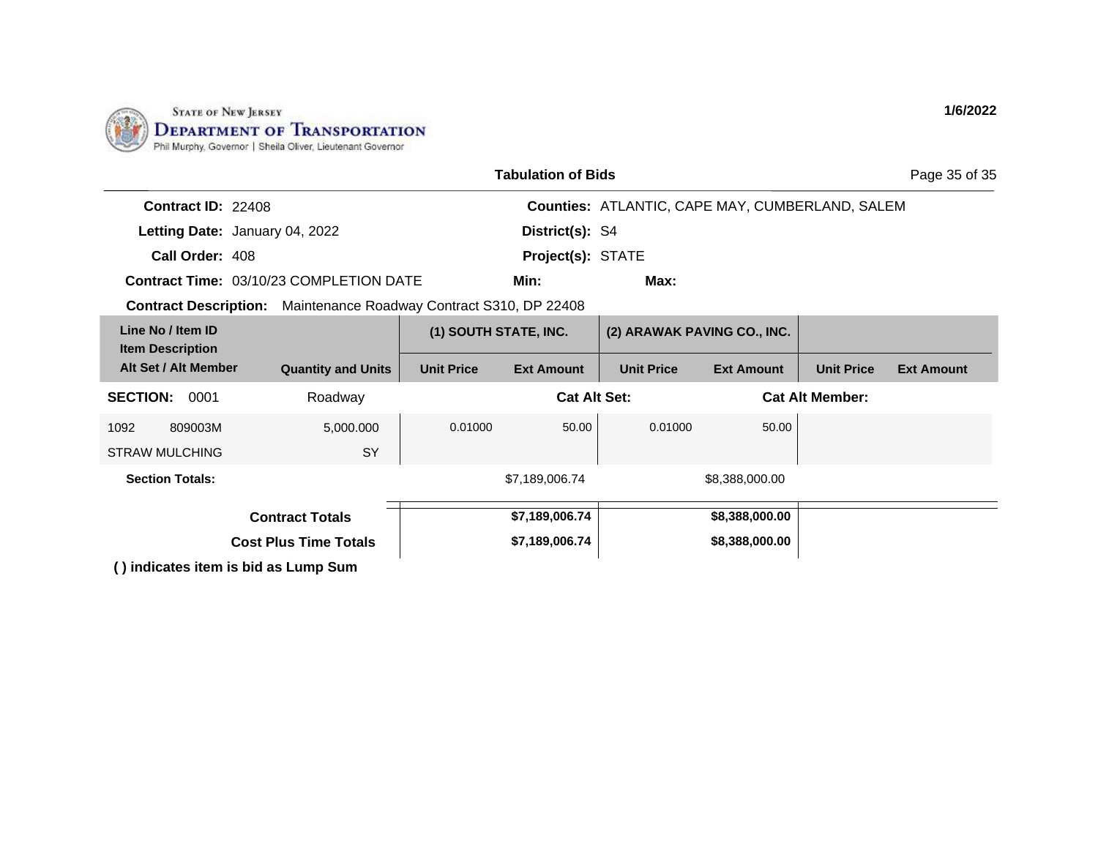

|                                                                          |                           |                       | <b>Tabulation of Bids</b> |                   |                                                        |                        | Page 35 of 35     |
|--------------------------------------------------------------------------|---------------------------|-----------------------|---------------------------|-------------------|--------------------------------------------------------|------------------------|-------------------|
| Contract ID: 22408                                                       |                           |                       |                           |                   | <b>Counties: ATLANTIC, CAPE MAY, CUMBERLAND, SALEM</b> |                        |                   |
| Letting Date: January 04, 2022                                           |                           |                       | District(s): S4           |                   |                                                        |                        |                   |
| Call Order: 408                                                          |                           |                       | Project(s): STATE         |                   |                                                        |                        |                   |
| <b>Contract Time: 03/10/23 COMPLETION DATE</b>                           |                           |                       | Min:                      | Max:              |                                                        |                        |                   |
| <b>Contract Description:</b> Maintenance Roadway Contract S310, DP 22408 |                           |                       |                           |                   |                                                        |                        |                   |
| Line No / Item ID<br><b>Item Description</b>                             |                           | (1) SOUTH STATE, INC. |                           |                   | (2) ARAWAK PAVING CO., INC.                            |                        |                   |
| Alt Set / Alt Member                                                     | <b>Quantity and Units</b> | <b>Unit Price</b>     | <b>Ext Amount</b>         | <b>Unit Price</b> | <b>Ext Amount</b>                                      | <b>Unit Price</b>      | <b>Ext Amount</b> |
| <b>SECTION:</b><br>0001                                                  | Roadway                   |                       | <b>Cat Alt Set:</b>       |                   |                                                        | <b>Cat Alt Member:</b> |                   |
| 809003M<br>1092                                                          | 5,000.000                 | 0.01000               | 50.00                     | 0.01000           | 50.00                                                  |                        |                   |
| <b>STRAW MULCHING</b>                                                    | SY                        |                       |                           |                   |                                                        |                        |                   |
| <b>Section Totals:</b>                                                   |                           |                       | \$7,189,006.74            |                   | \$8,388,000.00                                         |                        |                   |
| <b>Contract Totals</b>                                                   |                           |                       | \$7,189,006.74            |                   | \$8,388,000.00                                         |                        |                   |
| <b>Cost Plus Time Totals</b>                                             |                           | \$7,189,006.74        |                           | \$8,388,000.00    |                                                        |                        |                   |
| () indicates item is bid as Lump Sum                                     |                           |                       |                           |                   |                                                        |                        |                   |